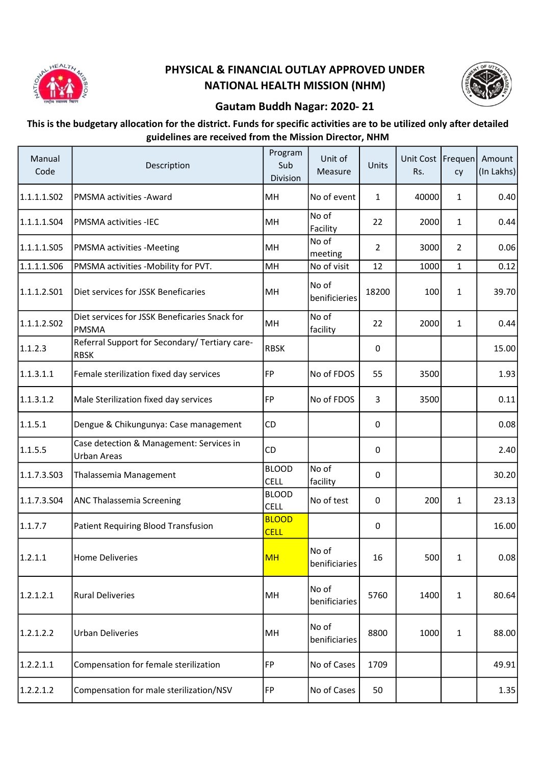

## PHYSICAL & FINANCIAL OUTLAY APPROVED UNDER NATIONAL HEALTH MISSION (NHM)



## Gautam Buddh Nagar: 2020- 21

## This is the budgetary allocation for the district. Funds for specific activities are to be utilized only after detailed guidelines are received from the Mission Director, NHM

| Manual<br>Code | Description                                                    | Program<br>Sub<br>Division  | Unit of<br>Measure     | Units          | Unit Cost   Frequen <br>Rs. | cy             | Amount<br>(In Lakhs) |
|----------------|----------------------------------------------------------------|-----------------------------|------------------------|----------------|-----------------------------|----------------|----------------------|
| 1.1.1.1.S02    | PMSMA activities - Award                                       | MH                          | No of event            | $\mathbf{1}$   | 40000                       | $\mathbf{1}$   | 0.40                 |
| 1.1.1.1.504    | PMSMA activities -IEC                                          | MH                          | No of<br>Facility      | 22             | 2000                        | $\mathbf{1}$   | 0.44                 |
| 1.1.1.1.S05    | PMSMA activities -Meeting                                      | MH                          | No of<br>meeting       | $\overline{2}$ | 3000                        | $\overline{2}$ | 0.06                 |
| 1.1.1.1.506    | PMSMA activities -Mobility for PVT.                            | MH                          | No of visit            | 12             | 1000                        | $\mathbf{1}$   | 0.12                 |
| 1.1.1.2.501    | Diet services for JSSK Beneficaries                            | MH                          | No of<br>benificieries | 18200          | 100                         | $\mathbf{1}$   | 39.70                |
| 1.1.1.2.502    | Diet services for JSSK Beneficaries Snack for<br><b>PMSMA</b>  | MH                          | No of<br>facility      | 22             | 2000                        | $\mathbf{1}$   | 0.44                 |
| 1.1.2.3        | Referral Support for Secondary/ Tertiary care-<br><b>RBSK</b>  | <b>RBSK</b>                 |                        | 0              |                             |                | 15.00                |
| 1.1.3.1.1      | Female sterilization fixed day services                        | <b>FP</b>                   | No of FDOS             | 55             | 3500                        |                | 1.93                 |
| 1.1.3.1.2      | Male Sterilization fixed day services                          | FP                          | No of FDOS             | 3              | 3500                        |                | 0.11                 |
| 1.1.5.1        | Dengue & Chikungunya: Case management                          | CD                          |                        | 0              |                             |                | 0.08                 |
| 1.1.5.5        | Case detection & Management: Services in<br><b>Urban Areas</b> | <b>CD</b>                   |                        | 0              |                             |                | 2.40                 |
| 1.1.7.3.503    | Thalassemia Management                                         | <b>BLOOD</b><br><b>CELL</b> | No of<br>facility      | 0              |                             |                | 30.20                |
| 1.1.7.3.504    | ANC Thalassemia Screening                                      | <b>BLOOD</b><br><b>CELL</b> | No of test             | 0              | 200                         | $\mathbf{1}$   | 23.13                |
| 1.1.7.7        | <b>Patient Requiring Blood Transfusion</b>                     | <b>BLOOD</b><br><b>CELL</b> |                        | 0              |                             |                | 16.00                |
| 1.2.1.1        | <b>Home Deliveries</b>                                         | <b>MH</b>                   | No of<br>benificiaries | 16             | 500                         | $\mathbf{1}$   | 0.08                 |
| 1.2.1.2.1      | <b>Rural Deliveries</b>                                        | MH                          | No of<br>benificiaries | 5760           | 1400                        | $\mathbf{1}$   | 80.64                |
| 1.2.1.2.2      | <b>Urban Deliveries</b>                                        | MH                          | No of<br>benificiaries | 8800           | 1000                        | $\mathbf{1}$   | 88.00                |
| 1.2.2.1.1      | Compensation for female sterilization                          | FP                          | No of Cases            | 1709           |                             |                | 49.91                |
| 1.2.2.1.2      | Compensation for male sterilization/NSV                        | FP                          | No of Cases            | 50             |                             |                | 1.35                 |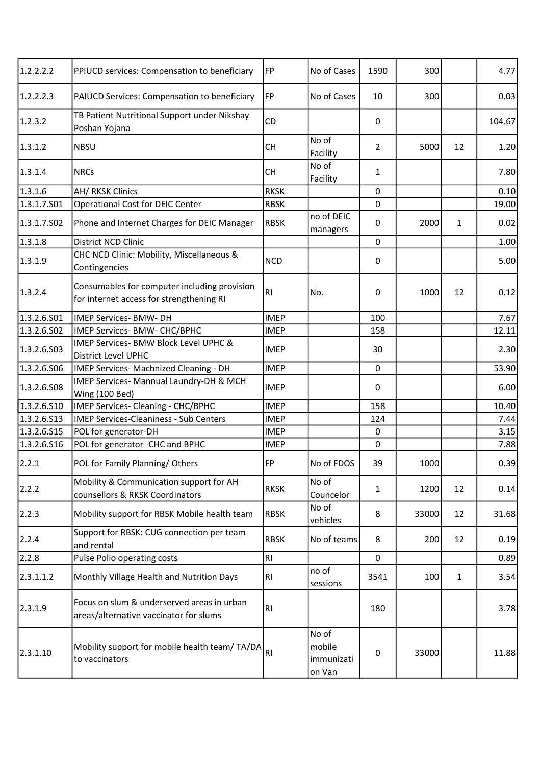| 1.2.2.2.2   | PPIUCD services: Compensation to beneficiary                                             | FP             | No of Cases                             | 1590           | 300   |              | 4.77   |
|-------------|------------------------------------------------------------------------------------------|----------------|-----------------------------------------|----------------|-------|--------------|--------|
| 1.2.2.2.3   | PAIUCD Services: Compensation to beneficiary                                             | FP             | No of Cases                             | 10             | 300   |              | 0.03   |
| 1.2.3.2     | TB Patient Nutritional Support under Nikshay<br>Poshan Yojana                            | <b>CD</b>      |                                         | 0              |       |              | 104.67 |
| 1.3.1.2     | <b>NBSU</b>                                                                              | <b>CH</b>      | No of<br>Facility                       | $\overline{2}$ | 5000  | 12           | 1.20   |
| 1.3.1.4     | <b>NRCs</b>                                                                              | <b>CH</b>      | No of<br>Facility                       | 1              |       |              | 7.80   |
| 1.3.1.6     | <b>AH/ RKSK Clinics</b>                                                                  | <b>RKSK</b>    |                                         | 0              |       |              | 0.10   |
| 1.3.1.7.S01 | Operational Cost for DEIC Center                                                         | <b>RBSK</b>    |                                         | $\mathbf 0$    |       |              | 19.00  |
| 1.3.1.7.502 | Phone and Internet Charges for DEIC Manager                                              | <b>RBSK</b>    | no of DEIC<br>managers                  | 0              | 2000  | 1            | 0.02   |
| 1.3.1.8     | District NCD Clinic                                                                      |                |                                         | $\mathbf 0$    |       |              | 1.00   |
| 1.3.1.9     | CHC NCD Clinic: Mobility, Miscellaneous &<br>Contingencies                               | <b>NCD</b>     |                                         | 0              |       |              | 5.00   |
| 1.3.2.4     | Consumables for computer including provision<br>for internet access for strengthening RI | R <sub>l</sub> | No.                                     | 0              | 1000  | 12           | 0.12   |
| 1.3.2.6.S01 | <b>IMEP Services- BMW- DH</b>                                                            | <b>IMEP</b>    |                                         | 100            |       |              | 7.67   |
| 1.3.2.6.S02 | IMEP Services- BMW- CHC/BPHC                                                             | <b>IMEP</b>    |                                         | 158            |       |              | 12.11  |
| 1.3.2.6.503 | IMEP Services- BMW Block Level UPHC &<br><b>District Level UPHC</b>                      | <b>IMEP</b>    |                                         | 30             |       |              | 2.30   |
| 1.3.2.6.506 | IMEP Services- Machnized Cleaning - DH                                                   | <b>IMEP</b>    |                                         | $\mathbf 0$    |       |              | 53.90  |
| 1.3.2.6.508 | IMEP Services- Mannual Laundry-DH & MCH<br><b>Wing (100 Bed)</b>                         | <b>IMEP</b>    |                                         | 0              |       |              | 6.00   |
| 1.3.2.6.510 | IMEP Services- Cleaning - CHC/BPHC                                                       | <b>IMEP</b>    |                                         | 158            |       |              | 10.40  |
| 1.3.2.6.513 | <b>IMEP Services-Cleaniness - Sub Centers</b>                                            | <b>IMEP</b>    |                                         | 124            |       |              | 7.44   |
| 1.3.2.6.515 | POL for generator-DH                                                                     | <b>IMEP</b>    |                                         | 0              |       |              | 3.15   |
| 1.3.2.6.516 | POL for generator -CHC and BPHC                                                          | <b>IMEP</b>    |                                         | 0              |       |              | 7.88   |
| 2.2.1       | POL for Family Planning/Others                                                           | FP             | No of FDOS                              | 39             | 1000  |              | 0.39   |
| 2.2.2       | Mobility & Communication support for AH<br>counsellors & RKSK Coordinators               | <b>RKSK</b>    | No of<br>Councelor                      | 1              | 1200  | 12           | 0.14   |
| 2.2.3       | Mobility support for RBSK Mobile health team                                             | <b>RBSK</b>    | No of<br>vehicles                       | 8              | 33000 | 12           | 31.68  |
| 2.2.4       | Support for RBSK: CUG connection per team<br>and rental                                  | <b>RBSK</b>    | No of teams                             | 8              | 200   | 12           | 0.19   |
| 2.2.8       | Pulse Polio operating costs                                                              | RI             |                                         | $\pmb{0}$      |       |              | 0.89   |
| 2.3.1.1.2   | Monthly Village Health and Nutrition Days                                                | R <sub>l</sub> | no of<br>sessions                       | 3541           | 100   | $\mathbf{1}$ | 3.54   |
| 2.3.1.9     | Focus on slum & underserved areas in urban<br>areas/alternative vaccinator for slums     | RI             |                                         | 180            |       |              | 3.78   |
| 2.3.1.10    | Mobility support for mobile health team/ TA/DA<br>to vaccinators                         | RI             | No of<br>mobile<br>immunizati<br>on Van | $\pmb{0}$      | 33000 |              | 11.88  |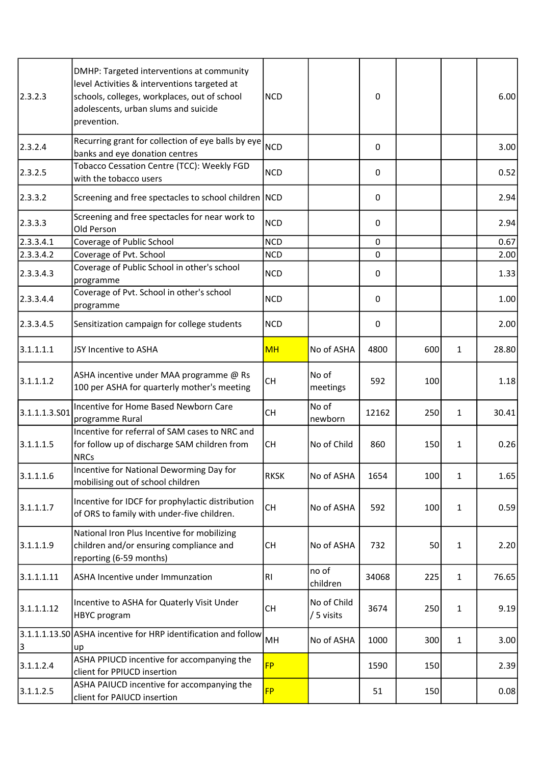| 2.3.2.3       | DMHP: Targeted interventions at community<br>level Activities & interventions targeted at<br>schools, colleges, workplaces, out of school<br>adolescents, urban slums and suicide<br>prevention. | <b>NCD</b>     |                           | 0           |     |              | 6.00  |
|---------------|--------------------------------------------------------------------------------------------------------------------------------------------------------------------------------------------------|----------------|---------------------------|-------------|-----|--------------|-------|
| 2.3.2.4       | Recurring grant for collection of eye balls by eye<br>banks and eye donation centres                                                                                                             | <b>NCD</b>     |                           | 0           |     |              | 3.00  |
| 2.3.2.5       | Tobacco Cessation Centre (TCC): Weekly FGD<br>with the tobacco users                                                                                                                             | <b>NCD</b>     |                           | 0           |     |              | 0.52  |
| 2.3.3.2       | Screening and free spectacles to school children NCD                                                                                                                                             |                |                           | 0           |     |              | 2.94  |
| 2.3.3.3       | Screening and free spectacles for near work to<br>Old Person                                                                                                                                     | <b>NCD</b>     |                           | 0           |     |              | 2.94  |
| 2.3.3.4.1     | Coverage of Public School                                                                                                                                                                        | <b>NCD</b>     |                           | $\mathbf 0$ |     |              | 0.67  |
| 2.3.3.4.2     | Coverage of Pvt. School                                                                                                                                                                          | <b>NCD</b>     |                           | 0           |     |              | 2.00  |
| 2.3.3.4.3     | Coverage of Public School in other's school<br>programme                                                                                                                                         | <b>NCD</b>     |                           | 0           |     |              | 1.33  |
| 2.3.3.4.4     | Coverage of Pvt. School in other's school<br>programme                                                                                                                                           | <b>NCD</b>     |                           | 0           |     |              | 1.00  |
| 2.3.3.4.5     | Sensitization campaign for college students                                                                                                                                                      | <b>NCD</b>     |                           | 0           |     |              | 2.00  |
| 3.1.1.1.1     | JSY Incentive to ASHA                                                                                                                                                                            | <b>MH</b>      | No of ASHA                | 4800        | 600 | $\mathbf{1}$ | 28.80 |
| 3.1.1.1.2     | ASHA incentive under MAA programme @ Rs<br>100 per ASHA for quarterly mother's meeting                                                                                                           | <b>CH</b>      | No of<br>meetings         | 592         | 100 |              | 1.18  |
| 3.1.1.1.3.501 | Incentive for Home Based Newborn Care<br>programme Rural                                                                                                                                         | <b>CH</b>      | No of<br>newborn          | 12162       | 250 | $\mathbf{1}$ | 30.41 |
| 3.1.1.1.5     | Incentive for referral of SAM cases to NRC and<br>for follow up of discharge SAM children from<br><b>NRCs</b>                                                                                    | <b>CH</b>      | No of Child               | 860         | 150 | $\mathbf{1}$ | 0.26  |
| 3.1.1.1.6     | Incentive for National Deworming Day for<br>mobilising out of school children                                                                                                                    | <b>RKSK</b>    | No of ASHA                | 1654        | 100 | $\mathbf{1}$ | 1.65  |
| 3.1.1.1.7     | Incentive for IDCF for prophylactic distribution<br>of ORS to family with under-five children.                                                                                                   | <b>CH</b>      | No of ASHA                | 592         | 100 | $\mathbf{1}$ | 0.59  |
| 3.1.1.1.9     | National Iron Plus Incentive for mobilizing<br>children and/or ensuring compliance and<br>reporting (6-59 months)                                                                                | <b>CH</b>      | No of ASHA                | 732         | 50  | $\mathbf{1}$ | 2.20  |
| 3.1.1.1.11    | ASHA Incentive under Immunzation                                                                                                                                                                 | R <sub>l</sub> | no of<br>children         | 34068       | 225 | $\mathbf{1}$ | 76.65 |
| 3.1.1.1.12    | Incentive to ASHA for Quaterly Visit Under<br><b>HBYC</b> program                                                                                                                                | <b>CH</b>      | No of Child<br>/ 5 visits | 3674        | 250 | $\mathbf{1}$ | 9.19  |
| 3             | 3.1.1.1.13.S0 ASHA incentive for HRP identification and follow<br>up                                                                                                                             | MH             | No of ASHA                | 1000        | 300 | $\mathbf{1}$ | 3.00  |
| 3.1.1.2.4     | ASHA PPIUCD incentive for accompanying the<br>client for PPIUCD insertion                                                                                                                        | <b>FP</b>      |                           | 1590        | 150 |              | 2.39  |
| 3.1.1.2.5     | ASHA PAIUCD incentive for accompanying the<br>client for PAIUCD insertion                                                                                                                        | <b>FP</b>      |                           | 51          | 150 |              | 0.08  |
|               |                                                                                                                                                                                                  |                |                           |             |     |              |       |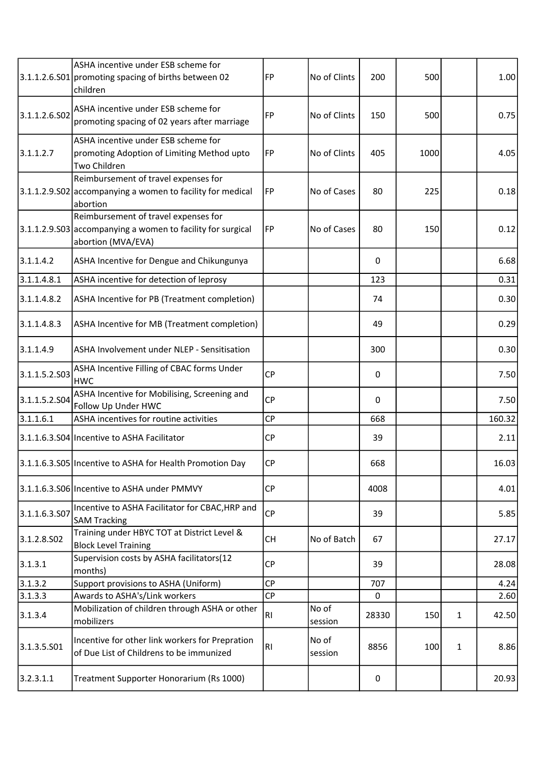|               | ASHA incentive under ESB scheme for<br>3.1.1.2.6.S01 promoting spacing of births between 02<br>children                   | FP             | No of Clints     | 200          | 500  |              | 1.00   |
|---------------|---------------------------------------------------------------------------------------------------------------------------|----------------|------------------|--------------|------|--------------|--------|
| 3.1.1.2.6.502 | ASHA incentive under ESB scheme for<br>promoting spacing of 02 years after marriage                                       | FP             | No of Clints     | 150          | 500  |              | 0.75   |
| 3.1.1.2.7     | ASHA incentive under ESB scheme for<br>promoting Adoption of Limiting Method upto<br><b>Two Children</b>                  | FP             | No of Clints     | 405          | 1000 |              | 4.05   |
|               | Reimbursement of travel expenses for<br>3.1.1.2.9.502 accompanying a women to facility for medical<br>abortion            | FP             | No of Cases      | 80           | 225  |              | 0.18   |
|               | Reimbursement of travel expenses for<br>3.1.1.2.9.503 accompanying a women to facility for surgical<br>abortion (MVA/EVA) | FP             | No of Cases      | 80           | 150  |              | 0.12   |
| 3.1.1.4.2     | ASHA Incentive for Dengue and Chikungunya                                                                                 |                |                  | $\mathbf{0}$ |      |              | 6.68   |
| 3.1.1.4.8.1   | ASHA incentive for detection of leprosy                                                                                   |                |                  | 123          |      |              | 0.31   |
| 3.1.1.4.8.2   | ASHA Incentive for PB (Treatment completion)                                                                              |                |                  | 74           |      |              | 0.30   |
| 3.1.1.4.8.3   | ASHA Incentive for MB (Treatment completion)                                                                              |                |                  | 49           |      |              | 0.29   |
| 3.1.1.4.9     | ASHA Involvement under NLEP - Sensitisation                                                                               |                |                  | 300          |      |              | 0.30   |
| 3.1.1.5.2.503 | ASHA Incentive Filling of CBAC forms Under<br><b>HWC</b>                                                                  | <b>CP</b>      |                  | 0            |      |              | 7.50   |
| 3.1.1.5.2.504 | ASHA Incentive for Mobilising, Screening and<br>Follow Up Under HWC                                                       | <b>CP</b>      |                  | $\Omega$     |      |              | 7.50   |
| 3.1.1.6.1     | ASHA incentives for routine activities                                                                                    | <b>CP</b>      |                  | 668          |      |              | 160.32 |
|               | 3.1.1.6.3.S04 Incentive to ASHA Facilitator                                                                               | <b>CP</b>      |                  | 39           |      |              | 2.11   |
|               | 3.1.1.6.3.S05 Incentive to ASHA for Health Promotion Day                                                                  | CP             |                  | 668          |      |              | 16.03  |
|               | 3.1.1.6.3.S06 Incentive to ASHA under PMMVY                                                                               | <b>CP</b>      |                  | 4008         |      |              | 4.01   |
| 3.1.1.6.3.507 | Incentive to ASHA Facilitator for CBAC, HRP and<br><b>SAM Tracking</b>                                                    | CP             |                  | 39           |      |              | 5.85   |
| 3.1.2.8.502   | Training under HBYC TOT at District Level &<br><b>Block Level Training</b>                                                | <b>CH</b>      | No of Batch      | 67           |      |              | 27.17  |
| 3.1.3.1       | Supervision costs by ASHA facilitators(12<br>months)                                                                      | CP             |                  | 39           |      |              | 28.08  |
| 3.1.3.2       | Support provisions to ASHA (Uniform)                                                                                      | <b>CP</b>      |                  | 707          |      |              | 4.24   |
| 3.1.3.3       | Awards to ASHA's/Link workers                                                                                             | CP             |                  | 0            |      |              | 2.60   |
| 3.1.3.4       | Mobilization of children through ASHA or other<br>mobilizers                                                              | R <sub>l</sub> | No of<br>session | 28330        | 150  | $\mathbf{1}$ | 42.50  |
| 3.1.3.5.501   | Incentive for other link workers for Prepration<br>of Due List of Childrens to be immunized                               | R <sub>l</sub> | No of<br>session | 8856         | 100  | $\mathbf{1}$ | 8.86   |
| 3.2.3.1.1     | Treatment Supporter Honorarium (Rs 1000)                                                                                  |                |                  | 0            |      |              | 20.93  |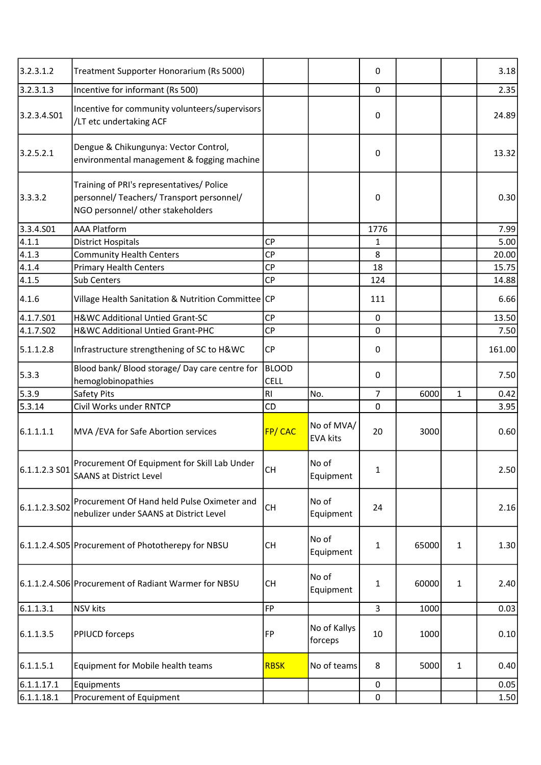| 3.2.3.1.2     | Treatment Supporter Honorarium (Rs 5000)                                                                                    |                             |                               | 0              |       |              | 3.18   |
|---------------|-----------------------------------------------------------------------------------------------------------------------------|-----------------------------|-------------------------------|----------------|-------|--------------|--------|
| 3.2.3.1.3     | Incentive for informant (Rs 500)                                                                                            |                             |                               | $\mathbf 0$    |       |              | 2.35   |
| 3.2.3.4.501   | Incentive for community volunteers/supervisors<br>/LT etc undertaking ACF                                                   |                             |                               | 0              |       |              | 24.89  |
| 3.2.5.2.1     | Dengue & Chikungunya: Vector Control,<br>environmental management & fogging machine                                         |                             |                               | 0              |       |              | 13.32  |
| 3.3.3.2       | Training of PRI's representatives/ Police<br>personnel/ Teachers/ Transport personnel/<br>NGO personnel/ other stakeholders |                             |                               | 0              |       |              | 0.30   |
| 3.3.4.501     | <b>AAA Platform</b>                                                                                                         |                             |                               | 1776           |       |              | 7.99   |
| 4.1.1         | <b>District Hospitals</b>                                                                                                   | <b>CP</b>                   |                               | 1              |       |              | 5.00   |
| [4.1.3]       | <b>Community Health Centers</b>                                                                                             | <b>CP</b>                   |                               | 8              |       |              | 20.00  |
| 4.1.4         | <b>Primary Health Centers</b>                                                                                               | CP                          |                               | 18             |       |              | 15.75  |
| 4.1.5         | <b>Sub Centers</b>                                                                                                          | <b>CP</b>                   |                               | 124            |       |              | 14.88  |
| 4.1.6         | Village Health Sanitation & Nutrition Committee CP                                                                          |                             |                               | 111            |       |              | 6.66   |
| 4.1.7.501     | H&WC Additional Untied Grant-SC                                                                                             | <b>CP</b>                   |                               | 0              |       |              | 13.50  |
| 4.1.7.502     | H&WC Additional Untied Grant-PHC                                                                                            | <b>CP</b>                   |                               | 0              |       |              | 7.50   |
| 5.1.1.2.8     | Infrastructure strengthening of SC to H&WC                                                                                  | CP                          |                               | 0              |       |              | 161.00 |
| 5.3.3         | Blood bank/ Blood storage/ Day care centre for<br>hemoglobinopathies                                                        | <b>BLOOD</b><br><b>CELL</b> |                               | 0              |       |              | 7.50   |
| 5.3.9         | Safety Pits                                                                                                                 | R <sub>l</sub>              | No.                           | $\overline{7}$ | 6000  | $\mathbf{1}$ | 0.42   |
| 5.3.14        | Civil Works under RNTCP                                                                                                     | CD                          |                               | $\mathbf 0$    |       |              | 3.95   |
| 6.1.1.1.1     | MVA / EVA for Safe Abortion services                                                                                        | FP/CAC                      | No of MVA/<br><b>EVA kits</b> | 20             | 3000  |              | 0.60   |
| 6.1.1.2.3S501 | Procurement Of Equipment for Skill Lab Under<br><b>SAANS at District Level</b>                                              | <b>CH</b>                   | No of<br>Equipment            | 1              |       |              | 2.50   |
| 6.1.1.2.3.502 | Procurement Of Hand held Pulse Oximeter and<br>nebulizer under SAANS at District Level                                      | <b>CH</b>                   | No of<br>Equipment            | 24             |       |              | 2.16   |
|               | 6.1.1.2.4.S05 Procurement of Phototherepy for NBSU                                                                          | <b>CH</b>                   | No of<br>Equipment            | 1              | 65000 | $\mathbf{1}$ | 1.30   |
|               | 6.1.1.2.4.S06 Procurement of Radiant Warmer for NBSU                                                                        | <b>CH</b>                   | No of<br>Equipment            | 1              | 60000 | $\mathbf{1}$ | 2.40   |
| 6.1.1.3.1     | <b>NSV</b> kits                                                                                                             | <b>FP</b>                   |                               | 3              | 1000  |              | 0.03   |
| 6.1.1.3.5     | <b>PPIUCD forceps</b>                                                                                                       | FP                          | No of Kallys<br>forceps       | 10             | 1000  |              | 0.10   |
| 6.1.1.5.1     | Equipment for Mobile health teams                                                                                           | <b>RBSK</b>                 | No of teams                   | 8              | 5000  | $\mathbf{1}$ | 0.40   |
| 6.1.1.17.1    | Equipments                                                                                                                  |                             |                               | 0              |       |              | 0.05   |
| 6.1.1.18.1    | Procurement of Equipment                                                                                                    |                             |                               | 0              |       |              | 1.50   |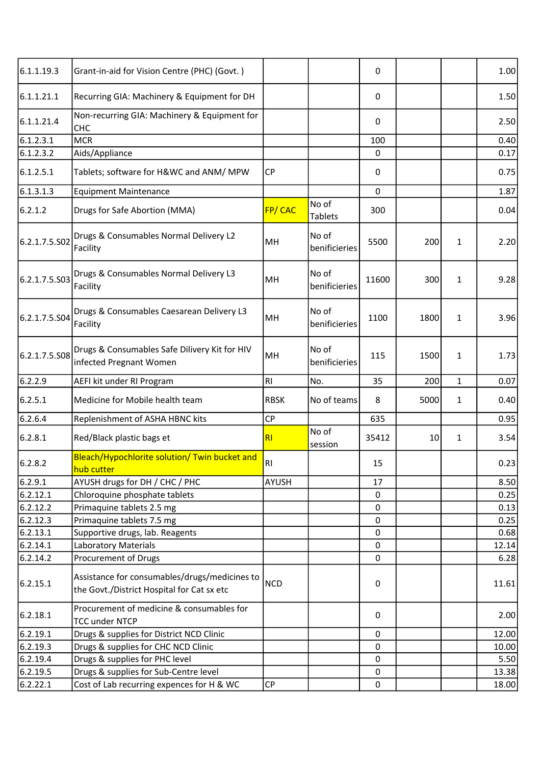| 6.1.1.19.3    | Grant-in-aid for Vision Centre (PHC) (Govt.)                                                |                |                        | 0            |      |              | 1.00  |
|---------------|---------------------------------------------------------------------------------------------|----------------|------------------------|--------------|------|--------------|-------|
| 6.1.1.21.1    | Recurring GIA: Machinery & Equipment for DH                                                 |                |                        | 0            |      |              | 1.50  |
| 6.1.1.21.4    | Non-recurring GIA: Machinery & Equipment for<br><b>CHC</b>                                  |                |                        | 0            |      |              | 2.50  |
| 6.1.2.3.1     | <b>MCR</b>                                                                                  |                |                        | 100          |      |              | 0.40  |
| 6.1.2.3.2     | Aids/Appliance                                                                              |                |                        | $\mathbf 0$  |      |              | 0.17  |
| 6.1.2.5.1     | Tablets; software for H&WC and ANM/ MPW                                                     | <b>CP</b>      |                        | $\mathbf{0}$ |      |              | 0.75  |
| 6.1.3.1.3     | <b>Equipment Maintenance</b>                                                                |                |                        | $\mathbf 0$  |      |              | 1.87  |
| 6.2.1.2       | Drugs for Safe Abortion (MMA)                                                               | FP/CAC         | No of<br>Tablets       | 300          |      |              | 0.04  |
| 6.2.1.7.5.S02 | Drugs & Consumables Normal Delivery L2<br>Facility                                          | MH             | No of<br>benificieries | 5500         | 200  | $\mathbf{1}$ | 2.20  |
| 6.2.1.7.5.S03 | Drugs & Consumables Normal Delivery L3<br>Facility                                          | MH             | No of<br>benificieries | 11600        | 300  | $\mathbf{1}$ | 9.28  |
| 6.2.1.7.5.S04 | Drugs & Consumables Caesarean Delivery L3<br>Facility                                       | MH             | No of<br>benificieries | 1100         | 1800 | $\mathbf{1}$ | 3.96  |
| 6.2.1.7.5.S08 | Drugs & Consumables Safe Dilivery Kit for HIV<br>infected Pregnant Women                    | MH             | No of<br>benificieries | 115          | 1500 | $\mathbf{1}$ | 1.73  |
| 6.2.2.9       | AEFI kit under RI Program                                                                   | RI.            | No.                    | 35           | 200  | $\mathbf{1}$ | 0.07  |
| 6.2.5.1       | Medicine for Mobile health team                                                             | <b>RBSK</b>    | No of teams            | 8            | 5000 | $\mathbf{1}$ | 0.40  |
| 6.2.6.4       | Replenishment of ASHA HBNC kits                                                             | <b>CP</b>      |                        | 635          |      |              | 0.95  |
| 6.2.8.1       | Red/Black plastic bags et                                                                   | R <sub>l</sub> | No of<br>session       | 35412        | 10   | 1            | 3.54  |
| 6.2.8.2       | Bleach/Hypochlorite solution/ Twin bucket and<br>hub cutter                                 | RI             |                        | 15           |      |              | 0.23  |
| 6.2.9.1       | AYUSH drugs for DH / CHC / PHC                                                              | <b>AYUSH</b>   |                        | 17           |      |              | 8.50  |
| 6.2.12.1      | Chloroquine phosphate tablets                                                               |                |                        | 0            |      |              | 0.25  |
| 6.2.12.2      | Primaquine tablets 2.5 mg                                                                   |                |                        | $\mathbf 0$  |      |              | 0.13  |
| 6.2.12.3      | Primaquine tablets 7.5 mg                                                                   |                |                        | $\pmb{0}$    |      |              | 0.25  |
| 6.2.13.1      | Supportive drugs, lab. Reagents                                                             |                |                        | 0            |      |              | 0.68  |
| 6.2.14.1      | Laboratory Materials                                                                        |                |                        | $\pmb{0}$    |      |              | 12.14 |
| 6.2.14.2      | Procurement of Drugs                                                                        |                |                        | 0            |      |              | 6.28  |
| 6.2.15.1      | Assistance for consumables/drugs/medicines to<br>the Govt./District Hospital for Cat sx etc | <b>NCD</b>     |                        | 0            |      |              | 11.61 |
| 6.2.18.1      | Procurement of medicine & consumables for<br><b>TCC under NTCP</b>                          |                |                        | $\pmb{0}$    |      |              | 2.00  |
| 6.2.19.1      | Drugs & supplies for District NCD Clinic                                                    |                |                        | 0            |      |              | 12.00 |
| 6.2.19.3      | Drugs & supplies for CHC NCD Clinic                                                         |                |                        | 0            |      |              | 10.00 |
| 6.2.19.4      | Drugs & supplies for PHC level                                                              |                |                        | 0            |      |              | 5.50  |
| 6.2.19.5      | Drugs & supplies for Sub-Centre level                                                       |                |                        | 0            |      |              | 13.38 |
| 6.2.22.1      | Cost of Lab recurring expences for H & WC                                                   | <b>CP</b>      |                        | $\pmb{0}$    |      |              | 18.00 |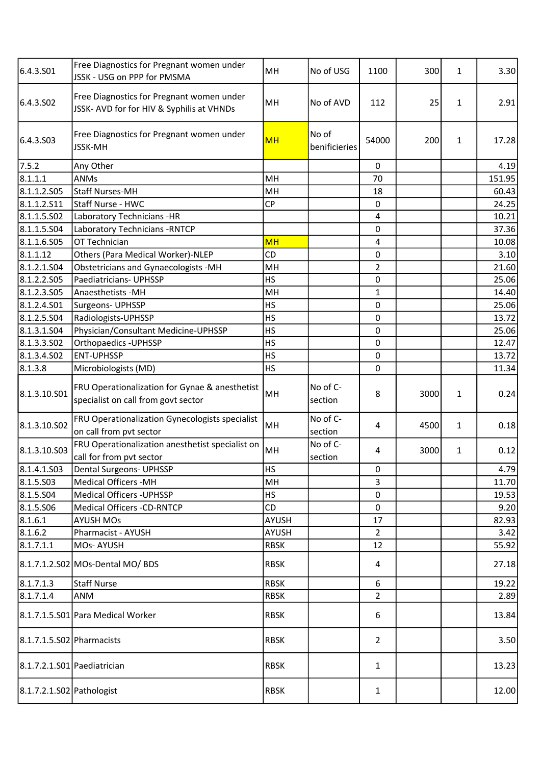| 6.4.3.S01                   | Free Diagnostics for Pregnant women under<br>JSSK - USG on PPP for PMSMA               | MH           | No of USG              | 1100                    | 300  | 1 | 3.30   |
|-----------------------------|----------------------------------------------------------------------------------------|--------------|------------------------|-------------------------|------|---|--------|
| 6.4.3.SO <sub>2</sub>       | Free Diagnostics for Pregnant women under<br>JSSK- AVD for for HIV & Syphilis at VHNDs | MH           | No of AVD              | 112                     | 25   | 1 | 2.91   |
| 6.4.3.503                   | Free Diagnostics for Pregnant women under<br>JSSK-MH                                   | <b>MH</b>    | No of<br>benificieries | 54000                   | 200  | 1 | 17.28  |
| 7.5.2                       | Any Other                                                                              |              |                        | 0                       |      |   | 4.19   |
| 8.1.1.1                     | <b>ANMs</b>                                                                            | MH           |                        | 70                      |      |   | 151.95 |
| 8.1.1.2.505                 | <b>Staff Nurses-MH</b>                                                                 | MH           |                        | 18                      |      |   | 60.43  |
| 8.1.1.2.511                 | Staff Nurse - HWC                                                                      | <b>CP</b>    |                        | 0                       |      |   | 24.25  |
| 8.1.1.5.502                 | Laboratory Technicians -HR                                                             |              |                        | 4                       |      |   | 10.21  |
| 8.1.1.5.504                 | Laboratory Technicians - RNTCP                                                         |              |                        | 0                       |      |   | 37.36  |
| 8.1.1.6.S05                 | OT Technician                                                                          | <b>MH</b>    |                        | $\overline{\mathbf{4}}$ |      |   | 10.08  |
| 8.1.1.12                    | Others (Para Medical Worker)-NLEP                                                      | CD           |                        | 0                       |      |   | 3.10   |
| 8.1.2.1.504                 | Obstetricians and Gynaecologists -MH                                                   | MH           |                        | $\overline{2}$          |      |   | 21.60  |
| 8.1.2.2.S05                 | Paediatricians- UPHSSP                                                                 | <b>HS</b>    |                        | 0                       |      |   | 25.06  |
| 8.1.2.3.505                 | Anaesthetists -MH                                                                      | MH           |                        | $\mathbf{1}$            |      |   | 14.40  |
| 8.1.2.4.501                 | Surgeons- UPHSSP                                                                       | <b>HS</b>    |                        | 0                       |      |   | 25.06  |
| 8.1.2.5.504                 | Radiologists-UPHSSP                                                                    | <b>HS</b>    |                        | 0                       |      |   | 13.72  |
| 8.1.3.1.S04                 | Physician/Consultant Medicine-UPHSSP                                                   | <b>HS</b>    |                        | 0                       |      |   | 25.06  |
| 8.1.3.3.502                 | Orthopaedics - UPHSSP                                                                  | <b>HS</b>    |                        | 0                       |      |   | 12.47  |
| 8.1.3.4.502                 | <b>ENT-UPHSSP</b>                                                                      | <b>HS</b>    |                        | 0                       |      |   | 13.72  |
| 8.1.3.8                     | Microbiologists (MD)                                                                   | <b>HS</b>    |                        | 0                       |      |   | 11.34  |
| 8.1.3.10.501                | FRU Operationalization for Gynae & anesthetist<br>specialist on call from govt sector  | MH           | No of C-<br>section    | 8                       | 3000 | 1 | 0.24   |
| 8.1.3.10.502                | FRU Operationalization Gynecologists specialist<br>on call from pvt sector             | MH           | No of C-<br>section    | 4                       | 4500 | 1 | 0.18   |
| 8.1.3.10.503                | FRU Operationalization anesthetist specialist on<br>call for from pvt sector           | MH           | No of C-<br>section    | 4                       | 3000 | 1 | 0.12   |
| 8.1.4.1.503                 | <b>Dental Surgeons- UPHSSP</b>                                                         | <b>HS</b>    |                        | 0                       |      |   | 4.79   |
| 8.1.5.503                   | <b>Medical Officers -MH</b>                                                            | MH           |                        | 3                       |      |   | 11.70  |
| 8.1.5.504                   | <b>Medical Officers - UPHSSP</b>                                                       | <b>HS</b>    |                        | 0                       |      |   | 19.53  |
| 8.1.5.506                   | Medical Officers -CD-RNTCP                                                             | CD           |                        | $\mathbf 0$             |      |   | 9.20   |
| 8.1.6.1                     | <b>AYUSH MOs</b>                                                                       | AYUSH        |                        | 17                      |      |   | 82.93  |
| 8.1.6.2                     | Pharmacist - AYUSH                                                                     | <b>AYUSH</b> |                        | $\overline{2}$          |      |   | 3.42   |
| 8.1.7.1.1                   | MOs-AYUSH                                                                              | <b>RBSK</b>  |                        | 12                      |      |   | 55.92  |
|                             | 8.1.7.1.2.S02 MOs-Dental MO/ BDS                                                       | <b>RBSK</b>  |                        | 4                       |      |   | 27.18  |
| 8.1.7.1.3                   | <b>Staff Nurse</b>                                                                     | <b>RBSK</b>  |                        | 6                       |      |   | 19.22  |
| 8.1.7.1.4                   | ANM                                                                                    | <b>RBSK</b>  |                        | $\overline{2}$          |      |   | 2.89   |
|                             | 8.1.7.1.5.S01 Para Medical Worker                                                      | <b>RBSK</b>  |                        | 6                       |      |   | 13.84  |
| 8.1.7.1.5.S02 Pharmacists   |                                                                                        | <b>RBSK</b>  |                        | $\overline{2}$          |      |   | 3.50   |
| 8.1.7.2.1.S01 Paediatrician |                                                                                        | <b>RBSK</b>  |                        | $\mathbf{1}$            |      |   | 13.23  |
| 8.1.7.2.1.S02 Pathologist   |                                                                                        | <b>RBSK</b>  |                        | $\mathbf{1}$            |      |   | 12.00  |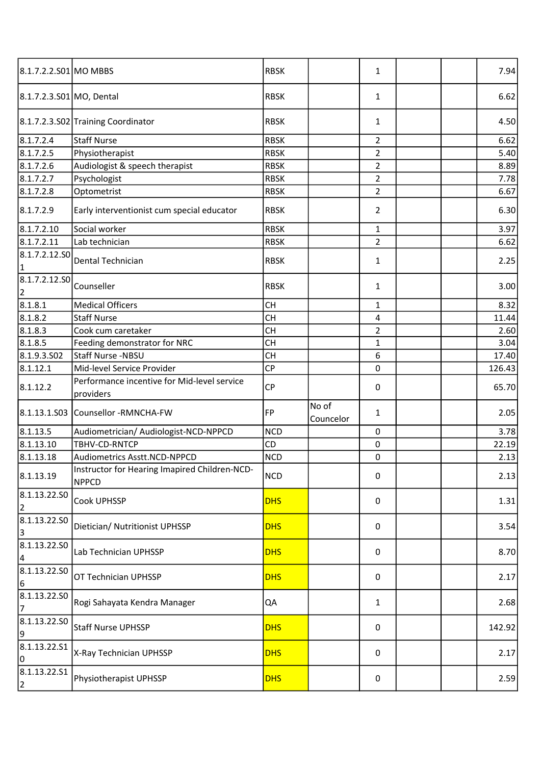| 8.1.7.2.2.S01 MO MBBS           |                                                               | <b>RBSK</b> |                    | 1              |  | 7.94   |
|---------------------------------|---------------------------------------------------------------|-------------|--------------------|----------------|--|--------|
| 8.1.7.2.3.S01 MO, Dental        |                                                               | <b>RBSK</b> |                    | $\mathbf{1}$   |  | 6.62   |
|                                 | 8.1.7.2.3.S02 Training Coordinator                            | <b>RBSK</b> |                    | 1              |  | 4.50   |
| 8.1.7.2.4                       | <b>Staff Nurse</b>                                            | <b>RBSK</b> |                    | $\overline{2}$ |  | 6.62   |
| 8.1.7.2.5                       | Physiotherapist                                               | <b>RBSK</b> |                    | $\overline{2}$ |  | 5.40   |
| 8.1.7.2.6                       | Audiologist & speech therapist                                | <b>RBSK</b> |                    | $\overline{2}$ |  | 8.89   |
| 8.1.7.2.7                       | Psychologist                                                  | <b>RBSK</b> |                    | $\overline{2}$ |  | 7.78   |
| 8.1.7.2.8                       | Optometrist                                                   | <b>RBSK</b> |                    | $\overline{2}$ |  | 6.67   |
| 8.1.7.2.9                       | Early interventionist cum special educator                    | <b>RBSK</b> |                    | $\overline{2}$ |  | 6.30   |
| 8.1.7.2.10                      | Social worker                                                 | <b>RBSK</b> |                    | $\mathbf{1}$   |  | 3.97   |
| 8.1.7.2.11                      | Lab technician                                                | <b>RBSK</b> |                    | $\overline{2}$ |  | 6.62   |
| 8.1.7.2.12.50<br> 1             | Dental Technician                                             | <b>RBSK</b> |                    | 1              |  | 2.25   |
| 8.1.7.2.12.50<br>2              | Counseller                                                    | <b>RBSK</b> |                    | 1              |  | 3.00   |
| 8.1.8.1                         | <b>Medical Officers</b>                                       | <b>CH</b>   |                    | 1              |  | 8.32   |
| 8.1.8.2                         | <b>Staff Nurse</b>                                            | <b>CH</b>   |                    | 4              |  | 11.44  |
| 8.1.8.3                         | Cook cum caretaker                                            | <b>CH</b>   |                    | $\overline{2}$ |  | 2.60   |
| 8.1.8.5                         | Feeding demonstrator for NRC                                  | <b>CH</b>   |                    | $\mathbf{1}$   |  | 3.04   |
| 8.1.9.3.502                     | Staff Nurse -NBSU                                             | <b>CH</b>   |                    | 6              |  | 17.40  |
| 8.1.12.1                        | Mid-level Service Provider                                    | CP          |                    | 0              |  | 126.43 |
| 8.1.12.2                        | Performance incentive for Mid-level service<br>providers      | CP          |                    | 0              |  | 65.70  |
| 8.1.13.1.S03                    | Counsellor -RMNCHA-FW                                         | FP          | No of<br>Councelor | 1              |  | 2.05   |
| 8.1.13.5                        | Audiometrician/ Audiologist-NCD-NPPCD                         | <b>NCD</b>  |                    | $\mathbf 0$    |  | 3.78   |
| 8.1.13.10                       | TBHV-CD-RNTCP                                                 | CD          |                    | $\pmb{0}$      |  | 22.19  |
| 8.1.13.18                       | Audiometrics Asstt.NCD-NPPCD                                  | <b>NCD</b>  |                    | $\pmb{0}$      |  | 2.13   |
| 8.1.13.19                       | Instructor for Hearing Imapired Children-NCD-<br><b>NPPCD</b> | <b>NCD</b>  |                    | $\pmb{0}$      |  | 2.13   |
| 8.1.13.22.50<br>2               | Cook UPHSSP                                                   | <b>DHS</b>  |                    | $\mathbf 0$    |  | 1.31   |
| 8.1.13.22.SO<br>3               | Dietician/ Nutritionist UPHSSP                                | <b>DHS</b>  |                    | 0              |  | 3.54   |
| 8.1.13.22.50<br>$\vert 4 \vert$ | Lab Technician UPHSSP                                         | <b>DHS</b>  |                    | $\pmb{0}$      |  | 8.70   |
| 8.1.13.22.50<br>6               | OT Technician UPHSSP                                          | <b>DHS</b>  |                    | 0              |  | 2.17   |
| 8.1.13.22.SO<br>7               | Rogi Sahayata Kendra Manager                                  | QA          |                    | 1              |  | 2.68   |
| 8.1.13.22.50<br>9               | <b>Staff Nurse UPHSSP</b>                                     | <b>DHS</b>  |                    | 0              |  | 142.92 |
| 8.1.13.22.51<br>10              | X-Ray Technician UPHSSP                                       | <b>DHS</b>  |                    | 0              |  | 2.17   |
| 8.1.13.22.51<br>2               | Physiotherapist UPHSSP                                        | <b>DHS</b>  |                    | $\pmb{0}$      |  | 2.59   |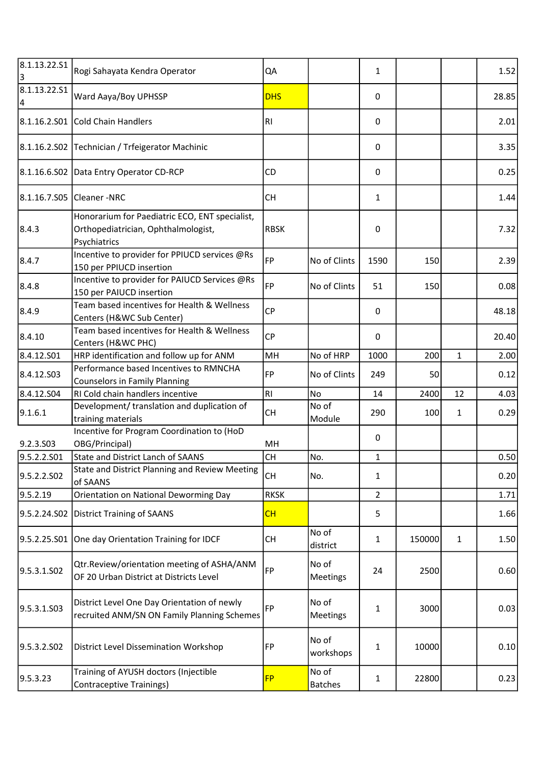| 8.1.13.22.51<br>3 | Rogi Sahayata Kendra Operator                                                                         | QA          |                         | 1              |        |              | 1.52  |
|-------------------|-------------------------------------------------------------------------------------------------------|-------------|-------------------------|----------------|--------|--------------|-------|
| 8.1.13.22.51<br>4 | Ward Aaya/Boy UPHSSP                                                                                  | <b>DHS</b>  |                         | 0              |        |              | 28.85 |
| 8.1.16.2.501      | Cold Chain Handlers                                                                                   | RI.         |                         | $\mathbf 0$    |        |              | 2.01  |
|                   | 8.1.16.2.S02 Technician / Trfeigerator Machinic                                                       |             |                         | 0              |        |              | 3.35  |
|                   | 8.1.16.6.S02 Data Entry Operator CD-RCP                                                               | CD          |                         | 0              |        |              | 0.25  |
| 8.1.16.7.S05      | Cleaner -NRC                                                                                          | <b>CH</b>   |                         | $\mathbf{1}$   |        |              | 1.44  |
| 8.4.3             | Honorarium for Paediatric ECO, ENT specialist,<br>Orthopediatrician, Ophthalmologist,<br>Psychiatrics | <b>RBSK</b> |                         | $\pmb{0}$      |        |              | 7.32  |
| 8.4.7             | Incentive to provider for PPIUCD services @Rs<br>150 per PPIUCD insertion                             | <b>FP</b>   | No of Clints            | 1590           | 150    |              | 2.39  |
| 8.4.8             | Incentive to provider for PAIUCD Services @Rs<br>150 per PAIUCD insertion                             | FP          | No of Clints            | 51             | 150    |              | 0.08  |
| 8.4.9             | Team based incentives for Health & Wellness<br>Centers (H&WC Sub Center)                              | <b>CP</b>   |                         | 0              |        |              | 48.18 |
| 8.4.10            | Team based incentives for Health & Wellness<br>Centers (H&WC PHC)                                     | <b>CP</b>   |                         | 0              |        |              | 20.40 |
| 8.4.12.501        | HRP identification and follow up for ANM                                                              | MH          | No of HRP               | 1000           | 200    | $\mathbf{1}$ | 2.00  |
| 8.4.12.503        | Performance based Incentives to RMNCHA<br><b>Counselors in Family Planning</b>                        | FP          | No of Clints            | 249            | 50     |              | 0.12  |
| 8.4.12.504        | RI Cold chain handlers incentive                                                                      | RI.         | No                      | 14             | 2400   | 12           | 4.03  |
| 9.1.6.1           | Development/ translation and duplication of<br>training materials                                     | <b>CH</b>   | No of<br>Module         | 290            | 100    | 1            | 0.29  |
|                   | Incentive for Program Coordination to (HoD                                                            |             |                         |                |        |              |       |
| 9.2.3.S03         | OBG/Principal)                                                                                        | MH          |                         | $\mathbf 0$    |        |              |       |
| 9.5.2.2.S01       | <b>State and District Lanch of SAANS</b>                                                              | <b>CH</b>   | No.                     | $\mathbf{1}$   |        |              | 0.50  |
| 9.5.2.2.S02       | State and District Planning and Review Meeting<br>of SAANS                                            | <b>CH</b>   | No.                     | $\mathbf{1}$   |        |              | 0.20  |
| 9.5.2.19          | Orientation on National Deworming Day                                                                 | <b>RKSK</b> |                         | $\overline{2}$ |        |              | 1.71  |
| 9.5.2.24.S02      | <b>District Training of SAANS</b>                                                                     | CH          |                         | 5              |        |              | 1.66  |
| 9.5.2.25.S01      | One day Orientation Training for IDCF                                                                 | <b>CH</b>   | No of<br>district       | $\mathbf{1}$   | 150000 | $\mathbf{1}$ | 1.50  |
| 9.5.3.1.SO2       | Qtr.Review/orientation meeting of ASHA/ANM<br>OF 20 Urban District at Districts Level                 | FP          | No of<br>Meetings       | 24             | 2500   |              | 0.60  |
| 9.5.3.1.S03       | District Level One Day Orientation of newly<br>recruited ANM/SN ON Family Planning Schemes            | FP          | No of<br>Meetings       | 1              | 3000   |              | 0.03  |
| 9.5.3.2.502       | District Level Dissemination Workshop                                                                 | FP          | No of<br>workshops      | $\mathbf{1}$   | 10000  |              | 0.10  |
| 9.5.3.23          | Training of AYUSH doctors (Injectible<br>Contraceptive Trainings)                                     | <b>FP</b>   | No of<br><b>Batches</b> | $\mathbf{1}$   | 22800  |              | 0.23  |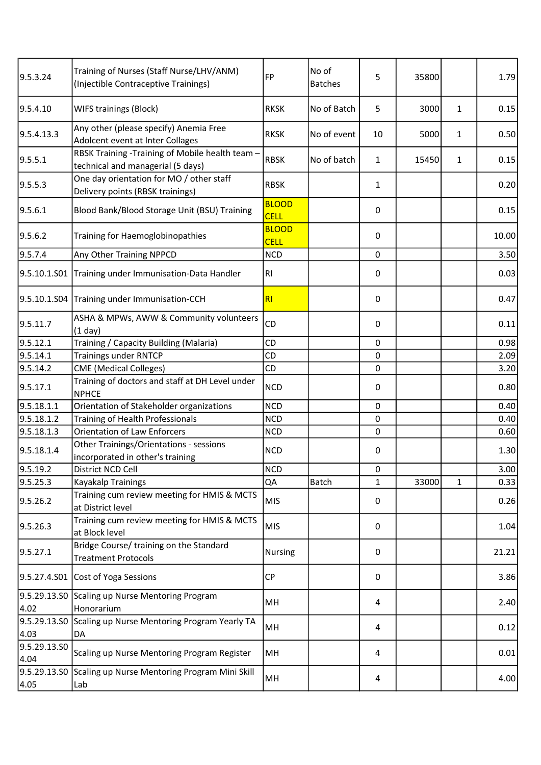| 9.5.3.24             | Training of Nurses (Staff Nurse/LHV/ANM)<br>(Injectible Contraceptive Trainings)     | FP                          | No of<br><b>Batches</b> | 5            | 35800 |              | 1.79  |
|----------------------|--------------------------------------------------------------------------------------|-----------------------------|-------------------------|--------------|-------|--------------|-------|
| 9.5.4.10             | WIFS trainings (Block)                                                               | <b>RKSK</b>                 | No of Batch             | 5            | 3000  | 1            | 0.15  |
| 9.5.4.13.3           | Any other (please specify) Anemia Free<br>Adolcent event at Inter Collages           | <b>RKSK</b>                 | No of event             | 10           | 5000  | $\mathbf{1}$ | 0.50  |
| 9.5.5.1              | RBSK Training -Training of Mobile health team -<br>technical and managerial (5 days) | <b>RBSK</b>                 | No of batch             | $\mathbf{1}$ | 15450 | $\mathbf{1}$ | 0.15  |
| 9.5.5.3              | One day orientation for MO / other staff<br>Delivery points (RBSK trainings)         | <b>RBSK</b>                 |                         | 1            |       |              | 0.20  |
| 9.5.6.1              | Blood Bank/Blood Storage Unit (BSU) Training                                         | <b>BLOOD</b><br><b>CELL</b> |                         | $\mathbf 0$  |       |              | 0.15  |
| 9.5.6.2              | Training for Haemoglobinopathies                                                     | <b>BLOOD</b><br><b>CELL</b> |                         | 0            |       |              | 10.00 |
| 9.5.7.4              | Any Other Training NPPCD                                                             | <b>NCD</b>                  |                         | $\mathbf 0$  |       |              | 3.50  |
|                      | 9.5.10.1.S01 Training under Immunisation-Data Handler                                | R <sub>l</sub>              |                         | $\pmb{0}$    |       |              | 0.03  |
|                      | 9.5.10.1.S04 Training under Immunisation-CCH                                         | R <sub>l</sub>              |                         | 0            |       |              | 0.47  |
| 9.5.11.7             | ASHA & MPWs, AWW & Community volunteers<br>$(1$ day)                                 | CD                          |                         | 0            |       |              | 0.11  |
| 9.5.12.1             | Training / Capacity Building (Malaria)                                               | CD                          |                         | 0            |       |              | 0.98  |
| 9.5.14.1             | <b>Trainings under RNTCP</b>                                                         | <b>CD</b>                   |                         | 0            |       |              | 2.09  |
| 9.5.14.2             | <b>CME</b> (Medical Colleges)                                                        | CD                          |                         | $\pmb{0}$    |       |              | 3.20  |
| 9.5.17.1             | Training of doctors and staff at DH Level under<br><b>NPHCE</b>                      | <b>NCD</b>                  |                         | $\pmb{0}$    |       |              | 0.80  |
| 9.5.18.1.1           | Orientation of Stakeholder organizations                                             | <b>NCD</b>                  |                         | $\mathbf 0$  |       |              | 0.40  |
| 9.5.18.1.2           | Training of Health Professionals                                                     | <b>NCD</b>                  |                         | $\pmb{0}$    |       |              | 0.40  |
| 9.5.18.1.3           | <b>Orientation of Law Enforcers</b>                                                  | <b>NCD</b>                  |                         | $\mathbf 0$  |       |              | 0.60  |
| 9.5.18.1.4           | Other Trainings/Orientations - sessions<br>incorporated in other's training          | <b>NCD</b>                  |                         | 0            |       |              | 1.30  |
| 9.5.19.2             | District NCD Cell                                                                    | <b>NCD</b>                  |                         | 0            |       |              | 3.00  |
| 9.5.25.3             | Kayakalp Trainings                                                                   | QA                          | <b>Batch</b>            | $\mathbf{1}$ | 33000 | $\mathbf{1}$ | 0.33  |
| 9.5.26.2             | Training cum review meeting for HMIS & MCTS<br>at District level                     | <b>MIS</b>                  |                         | 0            |       |              | 0.26  |
| 9.5.26.3             | Training cum review meeting for HMIS & MCTS<br>at Block level                        | <b>MIS</b>                  |                         | $\pmb{0}$    |       |              | 1.04  |
| 9.5.27.1             | Bridge Course/ training on the Standard<br><b>Treatment Protocols</b>                | <b>Nursing</b>              |                         | 0            |       |              | 21.21 |
|                      | 9.5.27.4.S01 Cost of Yoga Sessions                                                   | <b>CP</b>                   |                         | $\mathbf 0$  |       |              | 3.86  |
| 4.02                 | 9.5.29.13.S0 Scaling up Nurse Mentoring Program<br>Honorarium                        | MН                          |                         | 4            |       |              | 2.40  |
| 4.03                 | 9.5.29.13.S0 Scaling up Nurse Mentoring Program Yearly TA<br>DA                      | MH                          |                         | 4            |       |              | 0.12  |
| 9.5.29.13.SO<br>4.04 | Scaling up Nurse Mentoring Program Register                                          | MH                          |                         | 4            |       |              | 0.01  |
| 4.05                 | 9.5.29.13.S0 Scaling up Nurse Mentoring Program Mini Skill<br>Lab                    | MH                          |                         | 4            |       |              | 4.00  |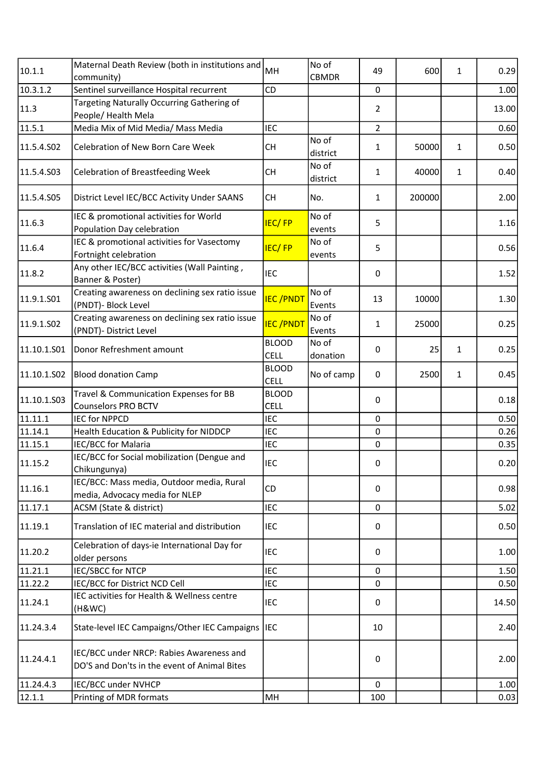| 10.1.1                 | Maternal Death Review (both in institutions and                                          | MH                          | No of             | 49             | 600    | 1           | 0.29  |
|------------------------|------------------------------------------------------------------------------------------|-----------------------------|-------------------|----------------|--------|-------------|-------|
|                        | community)                                                                               |                             | <b>CBMDR</b>      |                |        |             |       |
| 10.3.1.2               | Sentinel surveillance Hospital recurrent                                                 | CD                          |                   | 0              |        |             | 1.00  |
| 11.3                   | Targeting Naturally Occurring Gathering of<br>People/Health Mela                         |                             |                   | $\overline{2}$ |        |             | 13.00 |
| 11.5.1                 | Media Mix of Mid Media/ Mass Media                                                       | <b>IEC</b>                  |                   | $\overline{2}$ |        |             | 0.60  |
| 11.5.4.502             | Celebration of New Born Care Week                                                        | <b>CH</b>                   | No of<br>district | $\mathbf{1}$   | 50000  | 1           | 0.50  |
| 11.5.4.S03             | <b>Celebration of Breastfeeding Week</b>                                                 | <b>CH</b>                   | No of<br>district | $\mathbf{1}$   | 40000  | 1           | 0.40  |
| 11.5.4.S05             | District Level IEC/BCC Activity Under SAANS                                              | <b>CH</b>                   | No.               | $\mathbf{1}$   | 200000 |             | 2.00  |
| 11.6.3                 | IEC & promotional activities for World<br>Population Day celebration                     | <b>IEC/FP</b>               | No of<br>events   | 5              |        |             | 1.16  |
| 11.6.4                 | IEC & promotional activities for Vasectomy<br>Fortnight celebration                      | <b>IEC/FP</b>               | No of<br>events   | 5              |        |             | 0.56  |
| 11.8.2                 | Any other IEC/BCC activities (Wall Painting,<br>Banner & Poster)                         | <b>IEC</b>                  |                   | 0              |        |             | 1.52  |
| 11.9.1.S01             | Creating awareness on declining sex ratio issue<br>(PNDT)- Block Level                   | <b>IEC/PNDT</b>             | No of<br>Events   | 13             | 10000  |             | 1.30  |
| 11.9.1.SO <sub>2</sub> | Creating awareness on declining sex ratio issue<br>(PNDT)- District Level                | <b>IEC/PNDT</b>             | No of<br>Events   | $\mathbf{1}$   | 25000  |             | 0.25  |
| 11.10.1.501            | Donor Refreshment amount                                                                 | <b>BLOOD</b><br><b>CELL</b> | No of<br>donation | 0              | 25     | 1           | 0.25  |
| 11.10.1.S02            | <b>Blood donation Camp</b>                                                               | <b>BLOOD</b><br><b>CELL</b> | No of camp        | $\mathbf 0$    | 2500   | $\mathbf 1$ | 0.45  |
| 11.10.1.S03            | Travel & Communication Expenses for BB<br><b>Counselors PRO BCTV</b>                     | <b>BLOOD</b><br><b>CELL</b> |                   | 0              |        |             | 0.18  |
| $\sqrt{11.11.1}$       | <b>IEC for NPPCD</b>                                                                     | <b>IEC</b>                  |                   | 0              |        |             | 0.50  |
| 11.14.1                | Health Education & Publicity for NIDDCP                                                  | <b>IEC</b>                  |                   | 0              |        |             | 0.26  |
| 11.15.1                | IEC/BCC for Malaria                                                                      | <b>IEC</b>                  |                   | 0              |        |             | 0.35  |
| 11.15.2                | IEC/BCC for Social mobilization (Dengue and<br>Chikungunya)                              | <b>IEC</b>                  |                   | 0              |        |             | 0.20  |
| 11.16.1                | IEC/BCC: Mass media, Outdoor media, Rural<br>media, Advocacy media for NLEP              | CD                          |                   | 0              |        |             | 0.98  |
| 11.17.1                | ACSM (State & district)                                                                  | <b>IEC</b>                  |                   | $\mathbf 0$    |        |             | 5.02  |
| 11.19.1                | Translation of IEC material and distribution                                             | <b>IEC</b>                  |                   | 0              |        |             | 0.50  |
| 11.20.2                | Celebration of days-ie International Day for<br>older persons                            | <b>IEC</b>                  |                   | 0              |        |             | 1.00  |
| 11.21.1                | IEC/SBCC for NTCP                                                                        | <b>IEC</b>                  |                   | 0              |        |             | 1.50  |
| 11.22.2                | IEC/BCC for District NCD Cell                                                            | <b>IEC</b>                  |                   | 0              |        |             | 0.50  |
| 11.24.1                | IEC activities for Health & Wellness centre<br>(H&WC)                                    | IEC                         |                   | 0              |        |             | 14.50 |
| 11.24.3.4              | State-level IEC Campaigns/Other IEC Campaigns                                            | <b>I</b> IEC                |                   | 10             |        |             | 2.40  |
| 11.24.4.1              | IEC/BCC under NRCP: Rabies Awareness and<br>DO'S and Don'ts in the event of Animal Bites |                             |                   | 0              |        |             | 2.00  |
| 11.24.4.3              | IEC/BCC under NVHCP                                                                      |                             |                   | $\mathbf 0$    |        |             | 1.00  |
| 12.1.1                 | Printing of MDR formats                                                                  | MH                          |                   | 100            |        |             | 0.03  |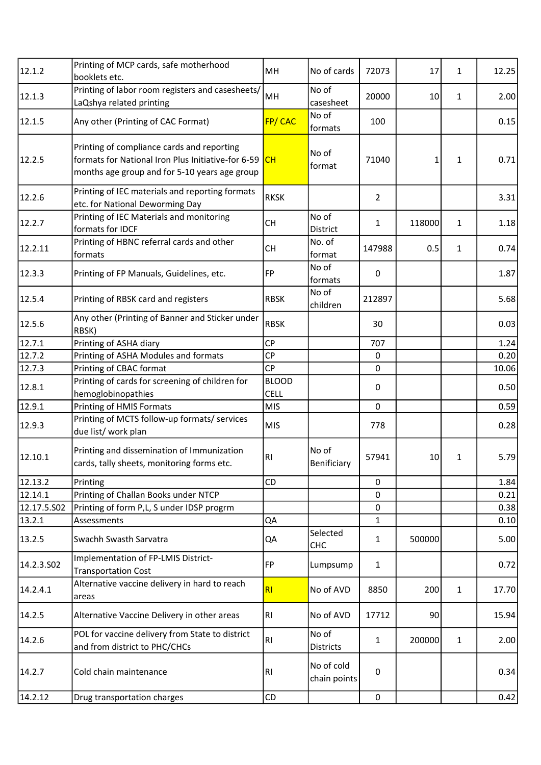| 12.1.2      | Printing of MCP cards, safe motherhood<br>booklets etc.                                                                                           | MH                          | No of cards                | 72073          | 17     | 1            | 12.25 |
|-------------|---------------------------------------------------------------------------------------------------------------------------------------------------|-----------------------------|----------------------------|----------------|--------|--------------|-------|
| 12.1.3      | Printing of labor room registers and casesheets/<br>LaQshya related printing                                                                      | MH                          | No of<br>casesheet         | 20000          | 10     | 1            | 2.00  |
| 12.1.5      | Any other (Printing of CAC Format)                                                                                                                | FP/CAC                      | No of<br>formats           | 100            |        |              | 0.15  |
| 12.2.5      | Printing of compliance cards and reporting<br>formats for National Iron Plus Initiative-for 6-59<br>months age group and for 5-10 years age group | CH                          | No of<br>format            | 71040          | 1      | $\mathbf{1}$ | 0.71  |
| 12.2.6      | Printing of IEC materials and reporting formats<br>etc. for National Deworming Day                                                                | <b>RKSK</b>                 |                            | $\overline{2}$ |        |              | 3.31  |
| 12.2.7      | Printing of IEC Materials and monitoring<br>formats for IDCF                                                                                      | <b>CH</b>                   | No of<br>District          | 1              | 118000 | 1            | 1.18  |
| 12.2.11     | Printing of HBNC referral cards and other<br>formats                                                                                              | <b>CH</b>                   | No. of<br>format           | 147988         | 0.5    | 1            | 0.74  |
| 12.3.3      | Printing of FP Manuals, Guidelines, etc.                                                                                                          | FP                          | No of<br>formats           | $\pmb{0}$      |        |              | 1.87  |
| 12.5.4      | Printing of RBSK card and registers                                                                                                               | <b>RBSK</b>                 | No of<br>children          | 212897         |        |              | 5.68  |
| 12.5.6      | Any other (Printing of Banner and Sticker under<br>RBSK)                                                                                          | <b>RBSK</b>                 |                            | 30             |        |              | 0.03  |
| 12.7.1      | Printing of ASHA diary                                                                                                                            | <b>CP</b>                   |                            | 707            |        |              | 1.24  |
| 12.7.2      | Printing of ASHA Modules and formats                                                                                                              | <b>CP</b>                   |                            | $\pmb{0}$      |        |              | 0.20  |
| 12.7.3      | Printing of CBAC format                                                                                                                           | <b>CP</b>                   |                            | 0              |        |              | 10.06 |
| 12.8.1      | Printing of cards for screening of children for<br>hemoglobinopathies                                                                             | <b>BLOOD</b><br><b>CELL</b> |                            | 0              |        |              | 0.50  |
| 12.9.1      | Printing of HMIS Formats                                                                                                                          | <b>MIS</b>                  |                            | $\pmb{0}$      |        |              | 0.59  |
| 12.9.3      | Printing of MCTS follow-up formats/ services<br>due list/ work plan                                                                               | <b>MIS</b>                  |                            | 778            |        |              | 0.28  |
| 12.10.1     | Printing and dissemination of Immunization<br>cards, tally sheets, monitoring forms etc.                                                          | RI                          | No of<br>Benificiary       | 57941          | 10     | 1            | 5.79  |
| 12.13.2     | Printing                                                                                                                                          | CD                          |                            | 0              |        |              | 1.84  |
| 12.14.1     | Printing of Challan Books under NTCP                                                                                                              |                             |                            | $\mathbf 0$    |        |              | 0.21  |
| 12.17.5.S02 | Printing of form P,L, S under IDSP progrm                                                                                                         |                             |                            | 0              |        |              | 0.38  |
| 13.2.1      | Assessments                                                                                                                                       | QA                          |                            | $\mathbf{1}$   |        |              | 0.10  |
| 13.2.5      | Swachh Swasth Sarvatra                                                                                                                            | QA                          | Selected<br><b>CHC</b>     | $\mathbf{1}$   | 500000 |              | 5.00  |
| 14.2.3.502  | Implementation of FP-LMIS District-<br><b>Transportation Cost</b>                                                                                 | FP                          | Lumpsump                   | $\mathbf{1}$   |        |              | 0.72  |
| 14.2.4.1    | Alternative vaccine delivery in hard to reach<br>areas                                                                                            | RI                          | No of AVD                  | 8850           | 200    | 1            | 17.70 |
| 14.2.5      | Alternative Vaccine Delivery in other areas                                                                                                       | R <sub>l</sub>              | No of AVD                  | 17712          | 90     |              | 15.94 |
| 14.2.6      | POL for vaccine delivery from State to district<br>and from district to PHC/CHCs                                                                  | R <sub>l</sub>              | No of<br><b>Districts</b>  | $\mathbf{1}$   | 200000 | $\mathbf{1}$ | 2.00  |
| 14.2.7      | Cold chain maintenance                                                                                                                            | R <sub>1</sub>              | No of cold<br>chain points | $\pmb{0}$      |        |              | 0.34  |
| 14.2.12     | Drug transportation charges                                                                                                                       | CD                          |                            | $\pmb{0}$      |        |              | 0.42  |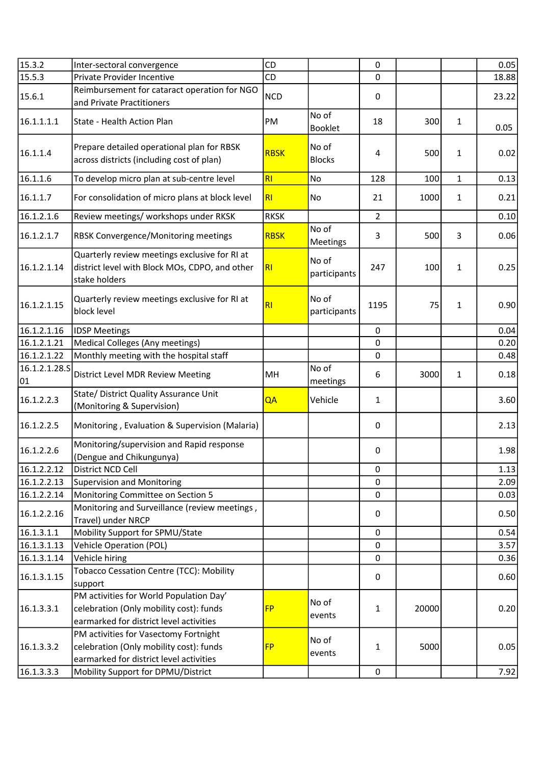| 15.3.2              | Inter-sectoral convergence                                                                                                    | CD             |                        | $\mathbf 0$    |       |              | 0.05  |
|---------------------|-------------------------------------------------------------------------------------------------------------------------------|----------------|------------------------|----------------|-------|--------------|-------|
| 15.5.3              | Private Provider Incentive                                                                                                    | CD             |                        | $\mathbf 0$    |       |              | 18.88 |
| 15.6.1              | Reimbursement for cataract operation for NGO<br>and Private Practitioners                                                     | <b>NCD</b>     |                        | 0              |       |              | 23.22 |
| 16.1.1.1.1          | State - Health Action Plan                                                                                                    | PM             | No of<br>Booklet       | 18             | 300   | 1            | 0.05  |
| 16.1.1.4            | Prepare detailed operational plan for RBSK<br>across districts (including cost of plan)                                       | <b>RBSK</b>    | No of<br><b>Blocks</b> | 4              | 500   | 1            | 0.02  |
| 16.1.1.6            | To develop micro plan at sub-centre level                                                                                     | R1             | No                     | 128            | 100   | $\mathbf{1}$ | 0.13  |
| 16.1.1.7            | For consolidation of micro plans at block level                                                                               | R1             | No                     | 21             | 1000  | 1            | 0.21  |
| 16.1.2.1.6          | Review meetings/ workshops under RKSK                                                                                         | <b>RKSK</b>    |                        | $\overline{2}$ |       |              | 0.10  |
| 16.1.2.1.7          | RBSK Convergence/Monitoring meetings                                                                                          | <b>RBSK</b>    | No of<br>Meetings      | 3              | 500   | 3            | 0.06  |
| 16.1.2.1.14         | Quarterly review meetings exclusive for RI at<br>district level with Block MOs, CDPO, and other<br>stake holders              | R <sub>l</sub> | No of<br>participants  | 247            | 100   | 1            | 0.25  |
| 16.1.2.1.15         | Quarterly review meetings exclusive for RI at<br>block level                                                                  | R1             | No of<br>participants  | 1195           | 75    | $\mathbf{1}$ | 0.90  |
| 16.1.2.1.16         | <b>IDSP Meetings</b>                                                                                                          |                |                        | $\pmb{0}$      |       |              | 0.04  |
| 16.1.2.1.21         | Medical Colleges (Any meetings)                                                                                               |                |                        | $\mathbf 0$    |       |              | 0.20  |
| 16.1.2.1.22         | Monthly meeting with the hospital staff                                                                                       |                |                        | $\pmb{0}$      |       |              | 0.48  |
| 16.1.2.1.28.S<br>01 | District Level MDR Review Meeting                                                                                             | MH             | No of<br>meetings      | 6              | 3000  | 1            | 0.18  |
| 16.1.2.2.3          | State/ District Quality Assurance Unit<br>(Monitoring & Supervision)                                                          | QA             | Vehicle                | $\mathbf{1}$   |       |              | 3.60  |
| 16.1.2.2.5          | Monitoring, Evaluation & Supervision (Malaria)                                                                                |                |                        | 0              |       |              | 2.13  |
| 16.1.2.2.6          | Monitoring/supervision and Rapid response<br>(Dengue and Chikungunya)                                                         |                |                        | $\pmb{0}$      |       |              | 1.98  |
| 16.1.2.2.12         | District NCD Cell                                                                                                             |                |                        | $\pmb{0}$      |       |              | 1.13  |
| 16.1.2.2.13         | <b>Supervision and Monitoring</b>                                                                                             |                |                        | 0              |       |              | 2.09  |
| 16.1.2.2.14         | Monitoring Committee on Section 5                                                                                             |                |                        | $\mathbf 0$    |       |              | 0.03  |
| 16.1.2.2.16         | Monitoring and Surveillance (review meetings,<br>Travel) under NRCP                                                           |                |                        | 0              |       |              | 0.50  |
| 16.1.3.1.1          | Mobility Support for SPMU/State                                                                                               |                |                        | $\mathbf 0$    |       |              | 0.54  |
| 16.1.3.1.13         | Vehicle Operation (POL)                                                                                                       |                |                        | $\mathbf 0$    |       |              | 3.57  |
| 16.1.3.1.14         | Vehicle hiring                                                                                                                |                |                        | 0              |       |              | 0.36  |
| 16.1.3.1.15         | <b>Tobacco Cessation Centre (TCC): Mobility</b><br>support                                                                    |                |                        | 0              |       |              | 0.60  |
| 16.1.3.3.1          | PM activities for World Population Day'<br>celebration (Only mobility cost): funds<br>earmarked for district level activities | <b>FP</b>      | No of<br>events        | $\mathbf{1}$   | 20000 |              | 0.20  |
| 16.1.3.3.2          | PM activities for Vasectomy Fortnight<br>celebration (Only mobility cost): funds<br>earmarked for district level activities   | <b>FP</b>      | No of<br>events        | $\mathbf{1}$   | 5000  |              | 0.05  |
| 16.1.3.3.3          | Mobility Support for DPMU/District                                                                                            |                |                        | $\pmb{0}$      |       |              | 7.92  |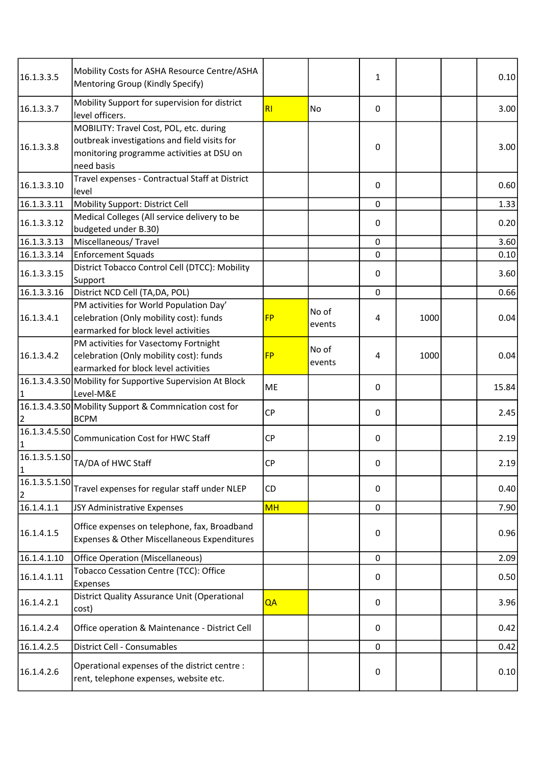| 16.1.3.3.5                 | Mobility Costs for ASHA Resource Centre/ASHA<br>Mentoring Group (Kindly Specify)                                                                   |           |                 | 1           |      | 0.10  |
|----------------------------|----------------------------------------------------------------------------------------------------------------------------------------------------|-----------|-----------------|-------------|------|-------|
| 16.1.3.3.7                 | Mobility Support for supervision for district<br>level officers.                                                                                   | RI        | No              | 0           |      | 3.00  |
| 16.1.3.3.8                 | MOBILITY: Travel Cost, POL, etc. during<br>outbreak investigations and field visits for<br>monitoring programme activities at DSU on<br>need basis |           |                 | 0           |      | 3.00  |
| 16.1.3.3.10                | Travel expenses - Contractual Staff at District<br>level                                                                                           |           |                 | 0           |      | 0.60  |
| 16.1.3.3.11                | Mobility Support: District Cell                                                                                                                    |           |                 | $\mathbf 0$ |      | 1.33  |
| 16.1.3.3.12                | Medical Colleges (All service delivery to be<br>budgeted under B.30)                                                                               |           |                 | 0           |      | 0.20  |
| 16.1.3.3.13                | Miscellaneous/Travel                                                                                                                               |           |                 | $\mathbf 0$ |      | 3.60  |
| 16.1.3.3.14                | <b>Enforcement Squads</b>                                                                                                                          |           |                 | 0           |      | 0.10  |
|                            | District Tobacco Control Cell (DTCC): Mobility                                                                                                     |           |                 |             |      |       |
| 16.1.3.3.15                | Support                                                                                                                                            |           |                 | 0           |      | 3.60  |
| 16.1.3.3.16                | District NCD Cell (TA,DA, POL)                                                                                                                     |           |                 | 0           |      | 0.66  |
| 16.1.3.4.1                 | PM activities for World Population Day'<br>celebration (Only mobility cost): funds<br>earmarked for block level activities                         | <b>FP</b> | No of<br>events | 4           | 1000 | 0.04  |
| 16.1.3.4.2                 | PM activities for Vasectomy Fortnight<br>celebration (Only mobility cost): funds<br>earmarked for block level activities                           | <b>FP</b> | No of<br>events | 4           | 1000 | 0.04  |
|                            | 16.1.3.4.3.S0 Mobility for Supportive Supervision At Block<br>Level-M&E                                                                            | ME        |                 | 0           |      | 15.84 |
| 2                          | 16.1.3.4.3.50 Mobility Support & Commnication cost for<br><b>BCPM</b>                                                                              | <b>CP</b> |                 | 0           |      | 2.45  |
| 16.1.3.4.5.50<br>$\vert$ 1 | Communication Cost for HWC Staff                                                                                                                   | <b>CP</b> |                 | 0           |      | 2.19  |
| $\vert$ 1                  | $\boxed{16.1.3.5.1.50}$ TA/DA of HWC Staff                                                                                                         | <b>CP</b> |                 | 0           |      | 2.19  |
| 16.1.3.5.1.SO<br>2         | Travel expenses for regular staff under NLEP                                                                                                       | CD        |                 | 0           |      | 0.40  |
| 16.1.4.1.1                 | JSY Administrative Expenses                                                                                                                        | <b>MH</b> |                 | 0           |      | 7.90  |
| 16.1.4.1.5                 | Office expenses on telephone, fax, Broadband<br>Expenses & Other Miscellaneous Expenditures                                                        |           |                 | 0           |      | 0.96  |
| 16.1.4.1.10                | <b>Office Operation (Miscellaneous)</b>                                                                                                            |           |                 | 0           |      | 2.09  |
| 16.1.4.1.11                | Tobacco Cessation Centre (TCC): Office<br>Expenses                                                                                                 |           |                 | 0           |      | 0.50  |
| 16.1.4.2.1                 | District Quality Assurance Unit (Operational<br>cost)                                                                                              | QA        |                 | 0           |      | 3.96  |
| 16.1.4.2.4                 | Office operation & Maintenance - District Cell                                                                                                     |           |                 | 0           |      | 0.42  |
| 16.1.4.2.5                 | District Cell - Consumables                                                                                                                        |           |                 | 0           |      | 0.42  |
| 16.1.4.2.6                 | Operational expenses of the district centre :<br>rent, telephone expenses, website etc.                                                            |           |                 | 0           |      | 0.10  |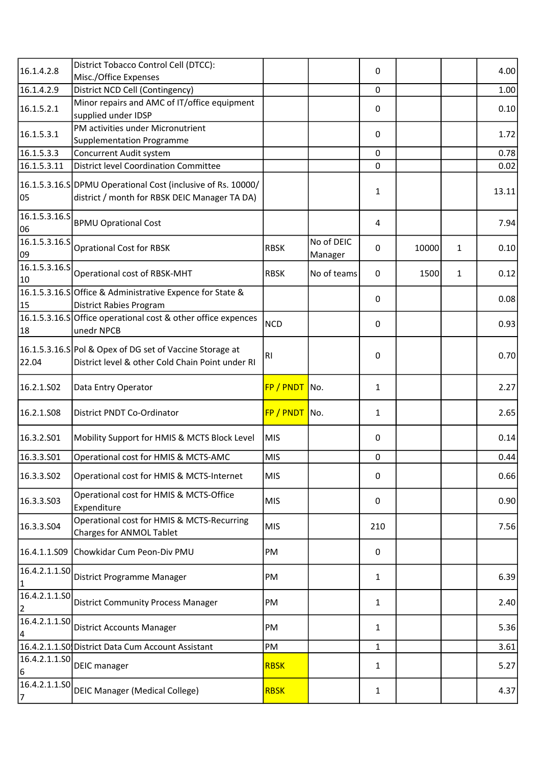| 16.1.4.2.8                        | District Tobacco Control Cell (DTCC):                                                                         |                 |                       | 0            |       |   | 4.00  |
|-----------------------------------|---------------------------------------------------------------------------------------------------------------|-----------------|-----------------------|--------------|-------|---|-------|
|                                   | Misc./Office Expenses                                                                                         |                 |                       |              |       |   |       |
| 16.1.4.2.9                        | District NCD Cell (Contingency)                                                                               |                 |                       | 0            |       |   | 1.00  |
| 16.1.5.2.1                        | Minor repairs and AMC of IT/office equipment<br>supplied under IDSP                                           |                 |                       | 0            |       |   | 0.10  |
| 16.1.5.3.1                        | PM activities under Micronutrient<br><b>Supplementation Programme</b>                                         |                 |                       | 0            |       |   | 1.72  |
| 16.1.5.3.3                        | Concurrent Audit system                                                                                       |                 |                       | $\Omega$     |       |   | 0.78  |
| 16.1.5.3.11                       | District level Coordination Committee                                                                         |                 |                       | 0            |       |   | 0.02  |
| 105                               | 16.1.5.3.16.S DPMU Operational Cost (inclusive of Rs. 10000/<br>district / month for RBSK DEIC Manager TA DA) |                 |                       | $\mathbf{1}$ |       |   | 13.11 |
| 16.1.5.3.16.S<br>06               | <b>BPMU Oprational Cost</b>                                                                                   |                 |                       | 4            |       |   | 7.94  |
| $\overline{16.1.5.3.16.5}$<br>09  | <b>Oprational Cost for RBSK</b>                                                                               | <b>RBSK</b>     | No of DEIC<br>Manager | $\mathbf{0}$ | 10000 | 1 | 0.10  |
| $\vert 16.1.5.3.16.5 \vert$<br>10 | Operational cost of RBSK-MHT                                                                                  | <b>RBSK</b>     | No of teams           | 0            | 1500  | 1 | 0.12  |
| 15                                | 16.1.5.3.16.SOffice & Administrative Expence for State &<br><b>District Rabies Program</b>                    |                 |                       | 0            |       |   | 0.08  |
| 18                                | 16.1.5.3.16.S Office operational cost & other office expences<br>unedr NPCB                                   | <b>NCD</b>      |                       | 0            |       |   | 0.93  |
| 22.04                             | 16.1.5.3.16.S Pol & Opex of DG set of Vaccine Storage at<br>District level & other Cold Chain Point under RI  | R <sub>l</sub>  |                       | $\pmb{0}$    |       |   | 0.70  |
| 16.2.1.502                        | Data Entry Operator                                                                                           | $FP / PNDT$ No. |                       | $\mathbf{1}$ |       |   | 2.27  |
| 16.2.1.508                        | District PNDT Co-Ordinator                                                                                    | FP / PNDT No.   |                       | $\mathbf{1}$ |       |   | 2.65  |
| 16.3.2.501                        | Mobility Support for HMIS & MCTS Block Level                                                                  | MIS             |                       | $\pmb{0}$    |       |   | 0.14  |
| 16.3.3.501                        | Operational cost for HMIS & MCTS-AMC                                                                          | <b>MIS</b>      |                       | $\pmb{0}$    |       |   | 0.44  |
| 16.3.3.502                        | Operational cost for HMIS & MCTS-Internet                                                                     | <b>MIS</b>      |                       | $\pmb{0}$    |       |   | 0.66  |
| 16.3.3.503                        | Operational cost for HMIS & MCTS-Office<br>Expenditure                                                        | <b>MIS</b>      |                       | 0            |       |   | 0.90  |
| 16.3.3.504                        | Operational cost for HMIS & MCTS-Recurring<br>Charges for ANMOL Tablet                                        | <b>MIS</b>      |                       | 210          |       |   | 7.56  |
|                                   | 16.4.1.1.S09 Chowkidar Cum Peon-Div PMU                                                                       | PM              |                       | 0            |       |   |       |
| 16.4.2.1.1.SO<br>11               | District Programme Manager                                                                                    | PM              |                       | 1            |       |   | 6.39  |
| 16.4.2.1.1.50<br>2                | <b>District Community Process Manager</b>                                                                     | PM              |                       | $\mathbf{1}$ |       |   | 2.40  |
| 16.4.2.1.1.SO                     | <b>District Accounts Manager</b>                                                                              | PM              |                       | $\mathbf{1}$ |       |   | 5.36  |
| 4                                 |                                                                                                               |                 |                       |              |       |   |       |
|                                   | 16.4.2.1.1.S0 District Data Cum Account Assistant                                                             | PM              |                       | $\mathbf{1}$ |       |   | 3.61  |
| 16.4.2.1.1.50<br>6                | <b>DEIC</b> manager                                                                                           | <b>RBSK</b>     |                       | 1            |       |   | 5.27  |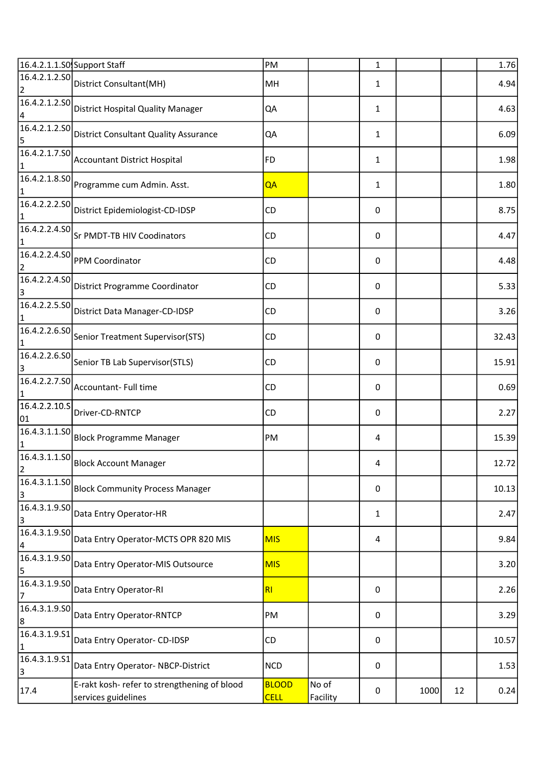|                                 | 16.4.2.1.1.S0 Support Staff                                         | PM                          |                   | $\mathbf{1}$     |      |    | 1.76  |
|---------------------------------|---------------------------------------------------------------------|-----------------------------|-------------------|------------------|------|----|-------|
| $\overline{2}$                  | $\left  \overline{16.4.2.1.2.50} \right $ District Consultant(MH)   | MH                          |                   | 1                |      |    | 4.94  |
| 4                               | $\boxed{16.4.2.1.2.50}$ District Hospital Quality Manager           | QA                          |                   | 1                |      |    | 4.63  |
| 16.4.2.1.2.50<br>5              | <b>District Consultant Quality Assurance</b>                        | QA                          |                   | 1                |      |    | 6.09  |
| $\mathbf{1}$                    | $\boxed{16.4.2.1.7.50}$ Accountant District Hospital                | FD.                         |                   | 1                |      |    | 1.98  |
| $\mathbf{1}$                    | 16.4.2.1.8.S0 Programme cum Admin. Asst.                            | QA                          |                   | 1                |      |    | 1.80  |
| 16.4.2.2.2.50<br>$\mathbf{1}$   | District Epidemiologist-CD-IDSP                                     | <b>CD</b>                   |                   | $\boldsymbol{0}$ |      |    | 8.75  |
| 1                               | $\boxed{16.4.2.2.4.50}$ Sr PMDT-TB HIV Coodinators                  | CD.                         |                   | 0                |      |    | 4.47  |
| 16.4.2.2.4.50<br>$\overline{2}$ | PPM Coordinator                                                     | <b>CD</b>                   |                   | 0                |      |    | 4.48  |
| 16.4.2.2.4.50<br>3              | District Programme Coordinator                                      | CD                          |                   | 0                |      |    | 5.33  |
| 16.4.2.2.5.S0<br>1              | District Data Manager-CD-IDSP                                       | CD.                         |                   | 0                |      |    | 3.26  |
| 16.4.2.2.6.S0<br>$\mathbf{1}$   | Senior Treatment Supervisor(STS)                                    | <b>CD</b>                   |                   | 0                |      |    | 32.43 |
| 16.4.2.2.6.SO<br>3              | Senior TB Lab Supervisor(STLS)                                      | CD                          |                   | 0                |      |    | 15.91 |
| $\mathbf{1}$                    | $\boxed{16.4.2.2.7.50}$ Accountant- Full time                       | CD                          |                   | 0                |      |    | 0.69  |
| 16.4.2.2.10.S<br>01             | Driver-CD-RNTCP                                                     | CD                          |                   | 0                |      |    | 2.27  |
| 16.4.3.1.1.S0<br>1              | <b>Block Programme Manager</b>                                      | PM                          |                   | 4                |      |    | 15.39 |
| $\overline{2}$                  | $\overline{16.4.3.1.1.}$ SO Block Account Manager                   |                             |                   | 4                |      |    | 12.72 |
| 16.4.3.1.1.50<br>3              | <b>Block Community Process Manager</b>                              |                             |                   | 0                |      |    | 10.13 |
| 16.4.3.1.9.50<br>3              | Data Entry Operator-HR                                              |                             |                   | 1                |      |    | 2.47  |
| 16.4.3.1.9.50<br>4              | Data Entry Operator-MCTS OPR 820 MIS                                | <b>MIS</b>                  |                   | 4                |      |    | 9.84  |
| 16.4.3.1.9.50<br>5              | Data Entry Operator-MIS Outsource                                   | <b>MIS</b>                  |                   |                  |      |    | 3.20  |
| 16.4.3.1.9.50<br>7              | Data Entry Operator-RI                                              | R <sub>l</sub>              |                   | 0                |      |    | 2.26  |
| 16.4.3.1.9.SO<br>8              | Data Entry Operator-RNTCP                                           | PM                          |                   | 0                |      |    | 3.29  |
| 16.4.3.1.9.51<br>1              | Data Entry Operator- CD-IDSP                                        | CD                          |                   | 0                |      |    | 10.57 |
| 16.4.3.1.9.51<br>3              | Data Entry Operator-NBCP-District                                   | <b>NCD</b>                  |                   | 0                |      |    | 1.53  |
| 17.4                            | E-rakt kosh- refer to strengthening of blood<br>services guidelines | <b>BLOOD</b><br><b>CELL</b> | No of<br>Facility | 0                | 1000 | 12 | 0.24  |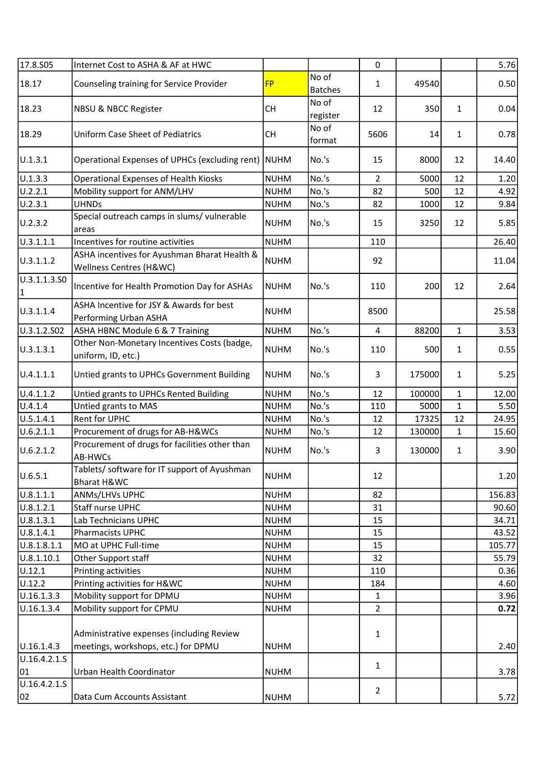| 17.8.505           | Internet Cost to ASHA & AF at HWC                                                |             |                         | $\mathbf 0$    |        |              | 5.76   |
|--------------------|----------------------------------------------------------------------------------|-------------|-------------------------|----------------|--------|--------------|--------|
| 18.17              | Counseling training for Service Provider                                         | <b>FP</b>   | No of<br><b>Batches</b> | 1              | 49540  |              | 0.50   |
| 18.23              | NBSU & NBCC Register                                                             | <b>CH</b>   | No of<br>register       | 12             | 350    | $\mathbf{1}$ | 0.04   |
| 18.29              | <b>Uniform Case Sheet of Pediatrics</b>                                          | <b>CH</b>   | No of<br>format         | 5606           | 14     | $\mathbf{1}$ | 0.78   |
| U.1.3.1            | Operational Expenses of UPHCs (excluding rent)                                   | NUHM        | No.'s                   | 15             | 8000   | 12           | 14.40  |
| U.1.3.3            | <b>Operational Expenses of Health Kiosks</b>                                     | <b>NUHM</b> | No.'s                   | $\overline{2}$ | 5000   | 12           | 1.20   |
| U.2.2.1            | Mobility support for ANM/LHV                                                     | <b>NUHM</b> | No.'s                   | 82             | 500    | 12           | 4.92   |
| U.2.3.1            | <b>UHNDs</b>                                                                     | <b>NUHM</b> | No.'s                   | 82             | 1000   | 12           | 9.84   |
| U.2.3.2            | Special outreach camps in slums/ vulnerable<br>areas                             | <b>NUHM</b> | No.'s                   | 15             | 3250   | 12           | 5.85   |
| U.3.1.1.1          | Incentives for routine activities                                                | <b>NUHM</b> |                         | 110            |        |              | 26.40  |
| U.3.1.1.2          | ASHA incentives for Ayushman Bharat Health &<br>Wellness Centres (H&WC)          | <b>NUHM</b> |                         | 92             |        |              | 11.04  |
| U.3.1.1.3.SO<br>1  | Incentive for Health Promotion Day for ASHAs                                     | <b>NUHM</b> | No.'s                   | 110            | 200    | 12           | 2.64   |
| U.3.1.1.4          | ASHA Incentive for JSY & Awards for best<br>Performing Urban ASHA                | <b>NUHM</b> |                         | 8500           |        |              | 25.58  |
| U.3.1.2.S02        | ASHA HBNC Module 6 & 7 Training                                                  | <b>NUHM</b> | No.'s                   | $\overline{4}$ | 88200  | $\mathbf{1}$ | 3.53   |
| U.3.1.3.1          | Other Non-Monetary Incentives Costs (badge,<br>uniform, ID, etc.)                | <b>NUHM</b> | No.'s                   | 110            | 500    | 1            | 0.55   |
| U.4.1.1.1          | Untied grants to UPHCs Government Building                                       | <b>NUHM</b> | No.'s                   | 3              | 175000 | 1            | 5.25   |
| U.4.1.1.2          | Untied grants to UPHCs Rented Building                                           | <b>NUHM</b> | No.'s                   | 12             | 100000 | $\mathbf{1}$ | 12.00  |
| U.4.1.4            | Untied grants to MAS                                                             | <b>NUHM</b> | No.'s                   | 110            | 5000   | 1            | 5.50   |
| U.5.1.4.1          | Rent for UPHC                                                                    | <b>NUHM</b> | No.'s                   | 12             | 17325  | 12           | 24.95  |
| U.6.2.1.1          | Procurement of drugs for AB-H&WCs                                                | <b>NUHM</b> | No.'s                   | 12             | 130000 | $\mathbf{1}$ | 15.60  |
| U.6.2.1.2          | Procurement of drugs for facilities other than<br>AB-HWCs                        | <b>NUHM</b> | No.'s                   | 3              | 130000 | $\mathbf{1}$ | 3.90   |
| U.6.5.1            | Tablets/ software for IT support of Ayushman<br>Bharat H&WC                      | <b>NUHM</b> |                         | 12             |        |              | 1.20   |
| 0.8.1.1.1          | ANMs/LHVs UPHC                                                                   | <b>NUHM</b> |                         | 82             |        |              | 156.83 |
| U.8.1.2.1          | Staff nurse UPHC                                                                 | <b>NUHM</b> |                         | 31             |        |              | 90.60  |
| U.8.1.3.1          | Lab Technicians UPHC                                                             | <b>NUHM</b> |                         | 15             |        |              | 34.71  |
| U.8.1.4.1          | Pharmacists UPHC                                                                 | <b>NUHM</b> |                         | 15             |        |              | 43.52  |
| U.8.1.8.1.1        | MO at UPHC Full-time                                                             | <b>NUHM</b> |                         | 15             |        |              | 105.77 |
| U.8.1.10.1         | Other Support staff                                                              | <b>NUHM</b> |                         | 32             |        |              | 55.79  |
| U.12.1             | Printing activities                                                              | <b>NUHM</b> |                         | 110            |        |              | 0.36   |
| U.12.2             | Printing activities for H&WC                                                     | <b>NUHM</b> |                         | 184            |        |              | 4.60   |
| U.16.1.3.3         | Mobility support for DPMU                                                        | <b>NUHM</b> |                         | $\mathbf{1}$   |        |              | 3.96   |
| U.16.1.3.4         | Mobility support for CPMU                                                        | <b>NUHM</b> |                         | $\overline{2}$ |        |              | 0.72   |
| U.16.1.4.3         | Administrative expenses (including Review<br>meetings, workshops, etc.) for DPMU | <b>NUHM</b> |                         | 1              |        |              | 2.40   |
| U.16.4.2.1.S<br>01 | Urban Health Coordinator                                                         | <b>NUHM</b> |                         | $\mathbf{1}$   |        |              | 3.78   |
| U.16.4.2.1.S       |                                                                                  |             |                         | $\overline{2}$ |        |              |        |
| 02                 | Data Cum Accounts Assistant                                                      | <b>NUHM</b> |                         |                |        |              | 5.72   |